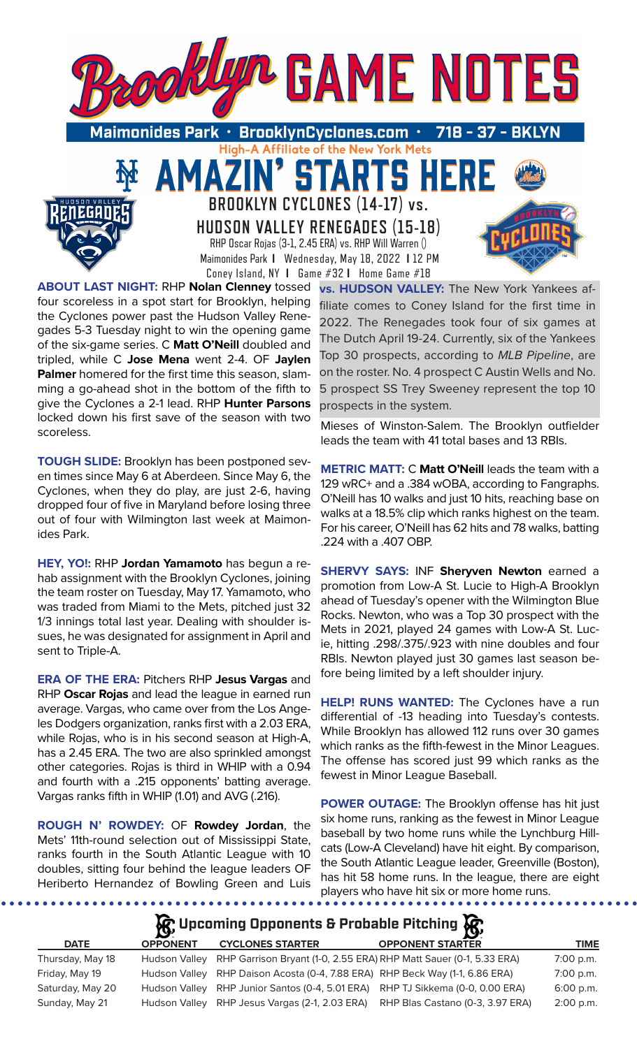

**HUDSON VALLEY RENEGADES (15-18)** RHP Oscar Rojas (3-1, 2.45 ERA) vs. RHP Will Warren () Maimonides Park **I** Wednesday, May 18, 2022 **I** 12 PM Coney Island, NY **I** Game #32 **I** Home Game #18

**ABOUT LAST NIGHT:** RHP **Nolan Clenney** tossed four scoreless in a spot start for Brooklyn, helping the Cyclones power past the Hudson Valley Renegades 5-3 Tuesday night to win the opening game of the six-game series. C **Matt O'Neill** doubled and tripled, while C **Jose Mena** went 2-4. OF **Jaylen Palmer** homered for the first time this season, slamming a go-ahead shot in the bottom of the fifth to give the Cyclones a 2-1 lead. RHP **Hunter Parsons**  locked down his first save of the season with two scoreless.

**TOUGH SLIDE:** Brooklyn has been postponed seven times since May 6 at Aberdeen. Since May 6, the Cyclones, when they do play, are just 2-6, having dropped four of five in Maryland before losing three out of four with Wilmington last week at Maimonides Park.

**HEY, YO!:** RHP **Jordan Yamamoto** has begun a rehab assignment with the Brooklyn Cyclones, joining the team roster on Tuesday, May 17. Yamamoto, who was traded from Miami to the Mets, pitched just 32 1/3 innings total last year. Dealing with shoulder issues, he was designated for assignment in April and sent to Triple-A.

**ERA OF THE ERA:** Pitchers RHP **Jesus Vargas** and RHP **Oscar Rojas** and lead the league in earned run average. Vargas, who came over from the Los Angeles Dodgers organization, ranks first with a 2.03 ERA, while Rojas, who is in his second season at High-A, has a 2.45 ERA. The two are also sprinkled amongst other categories. Rojas is third in WHIP with a 0.94 and fourth with a .215 opponents' batting average. Vargas ranks fifth in WHIP (1.01) and AVG (.216).

**ROUGH N' ROWDEY:** OF **Rowdey Jordan**, the Mets' 11th-round selection out of Mississippi State, ranks fourth in the South Atlantic League with 10 doubles, sitting four behind the league leaders OF Heriberto Hernandez of Bowling Green and Luis

**vs. HUDSON VALLEY:** The New York Yankees affiliate comes to Coney Island for the first time in 2022. The Renegades took four of six games at The Dutch April 19-24. Currently, six of the Yankees Top 30 prospects, according to *MLB Pipeline*, are on the roster. No. 4 prospect C Austin Wells and No. 5 prospect SS Trey Sweeney represent the top 10 prospects in the system.

Mieses of Winston-Salem. The Brooklyn outfielder leads the team with 41 total bases and 13 RBIs.

**METRIC MATT:** C **Matt O'Neill** leads the team with a 129 wRC+ and a .384 wOBA, according to Fangraphs. O'Neill has 10 walks and just 10 hits, reaching base on walks at a 18.5% clip which ranks highest on the team. For his career, O'Neill has 62 hits and 78 walks, batting .224 with a .407 OBP.

**SHERVY SAYS:** INF **Sheryven Newton** earned a promotion from Low-A St. Lucie to High-A Brooklyn ahead of Tuesday's opener with the Wilmington Blue Rocks. Newton, who was a Top 30 prospect with the Mets in 2021, played 24 games with Low-A St. Lucie, hitting .298/.375/.923 with nine doubles and four RBIs. Newton played just 30 games last season before being limited by a left shoulder injury.

**HELP! RUNS WANTED:** The Cyclones have a run differential of -13 heading into Tuesday's contests. While Brooklyn has allowed 112 runs over 30 games which ranks as the fifth-fewest in the Minor Leagues. The offense has scored just 99 which ranks as the fewest in Minor League Baseball.

**POWER OUTAGE:** The Brooklyn offense has hit just six home runs, ranking as the fewest in Minor League baseball by two home runs while the Lynchburg Hillcats (Low-A Cleveland) have hit eight. By comparison, the South Atlantic League leader, Greenville (Boston), has hit 58 home runs. In the league, there are eight players who have hit six or more home runs.

# **Upcoming Opponents & Probable Pitching**

| <b>DATE</b>      | <b>OPPONENT</b> | <b>CYCLONES STARTER</b>                                                          | <b>OPPONENT STARTER</b>          | TIME        |
|------------------|-----------------|----------------------------------------------------------------------------------|----------------------------------|-------------|
| Thursday, May 18 |                 | Hudson Valley RHP Garrison Bryant (1-0, 2.55 ERA) RHP Matt Sauer (0-1, 5.33 ERA) |                                  | $7:00$ p.m. |
| Friday, May 19   |                 | Hudson Valley RHP Daison Acosta (0-4, 7.88 ERA) RHP Beck Way (1-1, 6.86 ERA)     |                                  | 7:00 p.m.   |
| Saturday, May 20 |                 | Hudson Valley RHP Junior Santos (0-4, 5.01 ERA) RHP TJ Sikkema (0-0, 0.00 ERA)   |                                  | $6:00$ p.m. |
| Sunday, May 21   |                 | Hudson Valley RHP Jesus Vargas (2-1, 2.03 ERA)                                   | RHP Blas Castano (0-3, 3.97 ERA) | $2:00$ p.m. |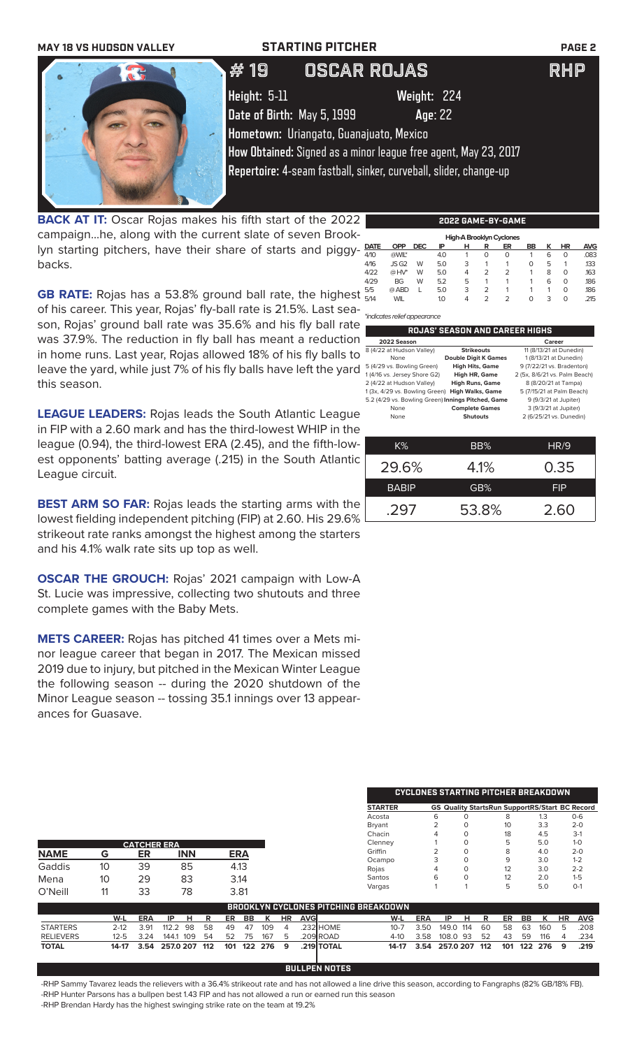

**BACK AT IT:** Oscar Rojas makes his fifth start of the 2022 campaign...he, along with the current slate of seven Brooklyn starting pitchers, have their share of starts and piggybacks.

| <b>PASK AT THE OSCAL ROLLS INGRESS THIS INTERVAL OF THE ZUZZ</b>                 |      |            |            |     | 14944 9401 <b>-1916 94014</b> |   |    |           |   |           |            |
|----------------------------------------------------------------------------------|------|------------|------------|-----|-------------------------------|---|----|-----------|---|-----------|------------|
| campaignhe, along with the current slate of seven Brook-                         |      |            |            |     | High-A Brooklyn Cyclones      |   |    |           |   |           |            |
| lyn starting pitchers, have their share of starts and piggy-                     | DATE | <b>OPP</b> | <b>DEC</b> | IP  |                               | R | ER | <b>BB</b> | K | <b>HR</b> | <b>AVG</b> |
|                                                                                  | 4/10 | @WIL*      |            | 40  |                               |   |    |           |   | - 0       | .083       |
| backs.                                                                           | 4/16 | JSG2 W     |            | 5.0 |                               |   |    |           |   |           | .133       |
|                                                                                  | 4/22 | $@$ HV* W  |            | 5.0 |                               |   |    |           |   |           | .163       |
|                                                                                  | 4/29 | <b>BG</b>  | W          | 52  |                               |   |    |           |   |           | .186       |
|                                                                                  | 5/5  | @ ABD      |            | 5.0 |                               |   |    |           |   |           | .186       |
| <b>GB RATE:</b> Rojas has a 53.8% ground ball rate, the highest $\frac{55}{544}$ |      | <b>WIL</b> |            |     |                               |   |    |           |   |           | .215       |
|                                                                                  |      |            |            |     |                               |   |    |           |   |           |            |

of his career. This year, Rojas' fly-ball rate is 21.5%. Last sea-*\*indicates relief appearance*

| e  |                                                    |                                       |                               |
|----|----------------------------------------------------|---------------------------------------|-------------------------------|
|    |                                                    | <b>ROJAS' SEASON AND CAREER HIGHS</b> |                               |
| n  | 2022 Season                                        |                                       | Career                        |
|    | 8 (4/22 at Hudson Valley)                          | <b>Strikeouts</b>                     | 11 (8/13/21 at Dunedin)       |
| O  | None                                               | <b>Double Digit K Games</b>           | 1 (8/13/21 at Dunedin)        |
| d  | 5 (4/29 vs. Bowling Green)                         | <b>High Hits, Game</b>                | 9 (7/22/21 vs. Bradenton)     |
|    | 1 (4/16 vs. Jersey Shore G2)                       | High HR, Game                         | 2 (5x, 8/6/21 vs. Palm Beach) |
|    | 2 (4/22 at Hudson Valley)                          | <b>High Runs, Game</b>                | 8 (8/20/21 at Tampa)          |
|    | 1 (3x, 4/29 vs. Bowling Green)                     | <b>High Walks, Game</b>               | 5 (7/15/21 at Palm Beach)     |
|    | 5.2 (4/29 vs. Bowling Green) Innings Pitched, Game |                                       | 9 (9/3/21 at Jupiter)         |
|    | None                                               | <b>Complete Games</b>                 | 3 (9/3/21 at Jupiter)         |
| e  | None                                               | <b>Shutouts</b>                       | 2 (6/25/21 vs. Dunedin)       |
| e  |                                                    |                                       |                               |
| ı- | K%                                                 | BB%                                   | <b>HR/9</b>                   |
|    |                                                    |                                       |                               |

29.6% 4.1% 0.35 BABIP **GB%** FIP

.297 53.8% 2.60

**CYCLONES STARTING PITCHER BREAKDOWN**

son, Rojas' ground ball rate was 35.6% and his fly ball rate was 37.9%. The reduction in fly ball has meant a reduction in home runs. Last year, Rojas allowed 18% of his fly balls to leave the yard, while just 7% of his fly balls have left the yard this season.

**LEAGUE LEADERS:** Rojas leads the South Atlantic League in FIP with a 2.60 mark and has the third-lowest WHIP in the league (0.94), the third-lowest ERA (2.45), and the fifth-lowest opponents' batting average (.215) in the South Atlantic League circuit.

**BEST ARM SO FAR:** Rojas leads the starting arms with the lowest fielding independent pitching (FIP) at 2.60. His 29.6% strikeout rate ranks amongst the highest among the starters and his 4.1% walk rate sits up top as well.

**OSCAR THE GROUCH:** Rojas' 2021 campaign with Low-A St. Lucie was impressive, collecting two shutouts and three complete games with the Baby Mets.

**METS CAREER:** Rojas has pitched 41 times over a Mets minor league career that began in 2017. The Mexican missed 2019 due to injury, but pitched in the Mexican Winter League the following season -- during the 2020 shutdown of the Minor League season -- tossing 35.1 innings over 13 appearances for Guasave.

|                  |          |                    |              |     |     |            |     |           |            |            | <b>STARTER</b>                              |            | <b>GS Quality StartsRun SupportRS/Start BC Record</b> |          |     |     |     |     |    |            |
|------------------|----------|--------------------|--------------|-----|-----|------------|-----|-----------|------------|------------|---------------------------------------------|------------|-------------------------------------------------------|----------|-----|-----|-----|-----|----|------------|
|                  |          |                    |              |     |     |            |     |           |            |            | Acosta                                      |            | 6                                                     | 0        |     | 8   |     | 1.3 |    | $O - 6$    |
|                  |          |                    |              |     |     |            |     |           |            |            | <b>Bryant</b>                               |            |                                                       | 0        |     | 10  |     | 3.3 |    | $2 - 0$    |
|                  |          |                    |              |     |     |            |     |           |            |            | Chacin                                      |            | 4                                                     | $\Omega$ |     | 18  |     | 4.5 |    | $3-1$      |
|                  |          | <b>CATCHER ERA</b> |              |     |     |            |     |           |            |            | Clenney                                     |            |                                                       | 0        |     | 5   |     | 5.0 |    | $1 - 0$    |
| <b>NAME</b>      | G        | ER                 | <b>INN</b>   |     |     | <b>ERA</b> |     |           |            |            | Griffin                                     |            |                                                       | $\circ$  |     | 8   |     | 4.0 |    | $2 - 0$    |
|                  |          |                    |              |     |     |            |     |           |            |            | Ocampo                                      |            | 3                                                     | $\circ$  |     | 9   |     | 3.0 |    | $1 - 2$    |
| Gaddis           | 10       | 39                 | 85           |     |     | 4.13       |     |           |            |            | Rojas                                       |            | 4                                                     | 0        |     | 12  |     | 3.0 |    | $2 - 2$    |
| Mena             | 10       | 29                 | 83           |     |     | 3.14       |     |           |            |            | Santos                                      |            | 6                                                     | $\Omega$ |     | 12  |     | 2.0 |    | $1-5$      |
|                  |          | 33                 | 78           |     |     |            |     |           |            |            | Vargas                                      |            |                                                       |          |     | 5   |     | 5.0 |    | $O-1$      |
| O'Neill          | 11       |                    |              |     |     | 3.81       |     |           |            |            |                                             |            |                                                       |          |     |     |     |     |    |            |
|                  |          |                    |              |     |     |            |     |           |            |            | <b>BROOKLYN CYCLONES PITCHING BREAKDOWN</b> |            |                                                       |          |     |     |     |     |    |            |
|                  | W-L      | <b>ERA</b>         | IP<br>н      | R   | ER  | BB         | К   | <b>HR</b> | <b>AVG</b> |            | W-L                                         | <b>ERA</b> | IP                                                    | н        | R   | ER  | BB  | К   | HR | <b>AVG</b> |
| <b>STARTERS</b>  | $2 - 12$ | 3.91               | 112.2<br>98  | 58  | 49  | 47         | 109 | 4         |            | .232 HOME  | $10 - 7$                                    | 3.50       | 149.0                                                 | 114      | 60  | 58  | 63  | 160 | 5  | 208        |
| <b>RELIEVERS</b> | $12 - 5$ | 3.24               | 144.1<br>109 | 54  | 52  | 75         | 167 | 5         |            | .209 ROAD  | $4-10$                                      | 3.58       | 108.0                                                 | -93      | 52  | 43  | 59  | 116 | 4  | .234       |
| <b>TOTAL</b>     | 14-17    | 3.54               | 257.0 207    | 112 | 101 | 122        | 276 | 9         |            | .219 TOTAL | $14-17$                                     | 3.54       | 257.0 207                                             |          | 112 | 101 | 122 | 276 | 9  | .219       |
|                  |          |                    |              |     |     |            |     |           |            |            |                                             |            |                                                       |          |     |     |     |     |    |            |

-RHP Sammy Tavarez leads the relievers with a 36.4% strikeout rate and has not allowed a line drive this season, according to Fangraphs (82% GB/18% FB).<br>-RHP Hunter Parsons has a bullnen best 1 43 FIP and has not allowed a -RHP Hunter Parsons has a bullpen best 1.43 FIP and has not allowed a run or earned run this season -RHP Brendan Hardy has the highest swinging strike RHP

# **2022 GAME-BY-GAME**

| BULLPEN NOTES                                                                                                                   |
|---------------------------------------------------------------------------------------------------------------------------------|
| ny Tavarez leads the relievers with a 36.4% strikeout rate and has not allowed a line drive this season, according to Fangraphs |
| er Parsons has a bullpen best 1.43 FIP and has not allowed a run or earned run this season .                                    |
| $\pm$ Hardy has the highest swinging strike rate on the team at 19 2%.                                                          |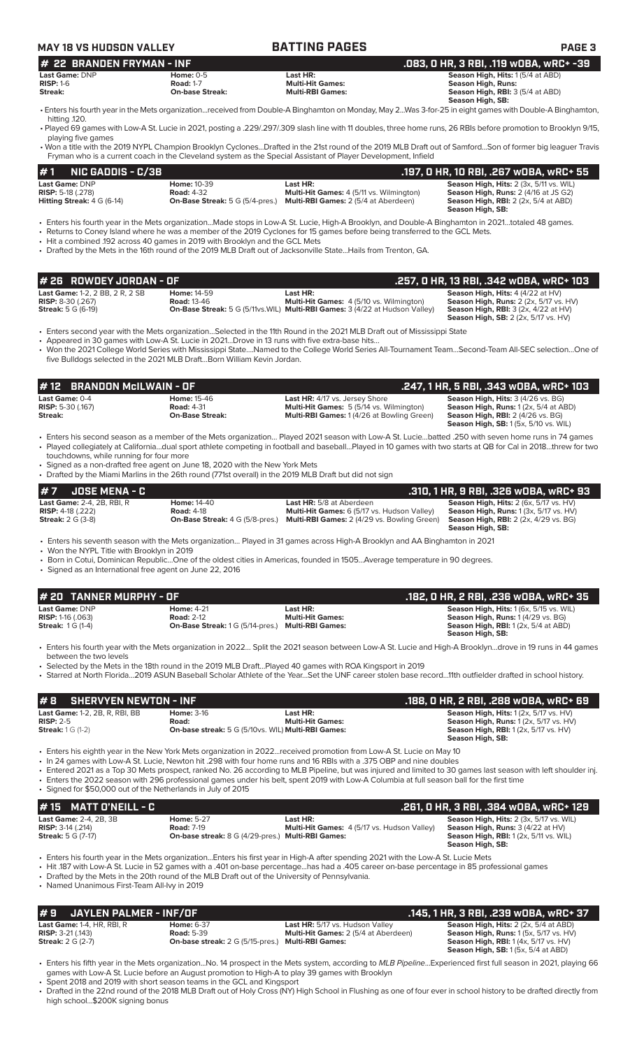| <b>MAY 18 VS HUDSON VALLEY</b>                                                                    |                                                                                                                                                                                         | <b>BATTING PAGES</b>                                                                                                                                                                                                                                                                                                                                                                               | <b>PAGE 3</b>                                                                                                                                                                                                                                                                                                                                                                                                                                                                                                       |
|---------------------------------------------------------------------------------------------------|-----------------------------------------------------------------------------------------------------------------------------------------------------------------------------------------|----------------------------------------------------------------------------------------------------------------------------------------------------------------------------------------------------------------------------------------------------------------------------------------------------------------------------------------------------------------------------------------------------|---------------------------------------------------------------------------------------------------------------------------------------------------------------------------------------------------------------------------------------------------------------------------------------------------------------------------------------------------------------------------------------------------------------------------------------------------------------------------------------------------------------------|
| # 22 BRANDEN FRYMAN - INF                                                                         |                                                                                                                                                                                         |                                                                                                                                                                                                                                                                                                                                                                                                    | .083, 0 HR, 3 RBI, .119 wOBA, wRC+ -39                                                                                                                                                                                                                                                                                                                                                                                                                                                                              |
| Last Game: DNP<br><b>RISP: 1-6</b><br>Streak:                                                     | <b>Home: 0-5</b><br><b>Road: 1-7</b><br><b>On-base Streak:</b>                                                                                                                          | Last HR:<br><b>Multi-Hit Games:</b><br><b>Multi-RBI Games:</b>                                                                                                                                                                                                                                                                                                                                     | Season High, Hits: 1 (5/4 at ABD)<br><b>Season High, Runs:</b><br><b>Season High, RBI: 3 (5/4 at ABD)</b><br>Season High, SB:                                                                                                                                                                                                                                                                                                                                                                                       |
| hitting .120.                                                                                     |                                                                                                                                                                                         |                                                                                                                                                                                                                                                                                                                                                                                                    | • Enters his fourth year in the Mets organizationreceived from Double-A Binghamton on Monday, May 2Was 3-for-25 in eight games with Double-A Binghamton,<br>. Played 69 games with Low-A St. Lucie in 2021, posting a .229/.297/.309 slash line with 11 doubles, three home runs, 26 RBIs before promotion to Brooklyn 9/15,                                                                                                                                                                                        |
| playing five games                                                                                |                                                                                                                                                                                         | Fryman who is a current coach in the Cleveland system as the Special Assistant of Player Development, Infield                                                                                                                                                                                                                                                                                      | • Won a title with the 2019 NYPL Champion Brooklyn CyclonesDrafted in the 21st round of the 2019 MLB Draft out of SamfordSon of former big leaguer Travis                                                                                                                                                                                                                                                                                                                                                           |
| <b>NIC GADDIS - C/3B</b><br>#1                                                                    |                                                                                                                                                                                         |                                                                                                                                                                                                                                                                                                                                                                                                    | .197, 0 HR, 10 RBI, .267 w0BA, wRC+ 55                                                                                                                                                                                                                                                                                                                                                                                                                                                                              |
| Last Game: DNP<br>RISP: 5-18 (.278)<br>Hitting Streak: 4 G (6-14)                                 | Home: 10-39<br><b>Road: 4-32</b><br><b>On-Base Streak:</b> 5 G (5/4-pres.)                                                                                                              | Last HR:<br>Multi-Hit Games: 4 (5/11 vs. Wilmington)<br>Multi-RBI Games: 2 (5/4 at Aberdeen)                                                                                                                                                                                                                                                                                                       | Season High, Hits: 2 (3x, 5/11 vs. WIL)<br>Season High, Runs: 2 (4/16 at JS G2)<br>Season High, RBI: 2 (2x, 5/4 at ABD)<br>Season High, SB:                                                                                                                                                                                                                                                                                                                                                                         |
|                                                                                                   | . Hit a combined .192 across 40 games in 2019 with Brooklyn and the GCL Mets                                                                                                            | · Enters his fourth year in the Mets organizationMade stops in Low-A St. Lucie, High-A Brooklyn, and Double-A Binghamton in 2021totaled 48 games.<br>• Returns to Coney Island where he was a member of the 2019 Cyclones for 15 games before being transferred to the GCL Mets.<br>• Drafted by the Mets in the 16th round of the 2019 MLB Draft out of Jacksonville StateHails from Trenton, GA. |                                                                                                                                                                                                                                                                                                                                                                                                                                                                                                                     |
| #26 ROWDEY JORDAN - OF                                                                            |                                                                                                                                                                                         |                                                                                                                                                                                                                                                                                                                                                                                                    | .257, 0 HR, 13 RBI, .342 wOBA, wRC+ 103                                                                                                                                                                                                                                                                                                                                                                                                                                                                             |
| Last Game: 1-2, 2 BB, 2 R, 2 SB<br>RISP: 8-30 (.267)<br><b>Streak: 5 G (6-19)</b>                 | Home: 14-59<br><b>Road: 13-46</b>                                                                                                                                                       | Last HR:<br>Multi-Hit Games: 4 (5/10 vs. Wilmington)<br>On-Base Streak: 5 G (5/11vs. WIL) Multi-RBI Games: 3 (4/22 at Hudson Valley)                                                                                                                                                                                                                                                               | Season High, Hits: 4 (4/22 at HV)<br>Season High, Runs: 2 (2x, 5/17 vs. HV)<br>Season High, RBI: 3 (2x, 4/22 at HV)<br><b>Season High, SB:</b> 2 (2x, 5/17 vs. HV)                                                                                                                                                                                                                                                                                                                                                  |
|                                                                                                   | • Appeared in 30 games with Low-A St. Lucie in 2021Drove in 13 runs with five extra-base hits                                                                                           | • Enters second year with the Mets organizationSelected in the 11th Round in the 2021 MLB Draft out of Mississippi State                                                                                                                                                                                                                                                                           |                                                                                                                                                                                                                                                                                                                                                                                                                                                                                                                     |
|                                                                                                   |                                                                                                                                                                                         |                                                                                                                                                                                                                                                                                                                                                                                                    |                                                                                                                                                                                                                                                                                                                                                                                                                                                                                                                     |
|                                                                                                   | five Bulldogs selected in the 2021 MLB DraftBorn William Kevin Jordan.                                                                                                                  |                                                                                                                                                                                                                                                                                                                                                                                                    |                                                                                                                                                                                                                                                                                                                                                                                                                                                                                                                     |
| <b>BRANDON McILWAIN - OF</b><br>12<br>#                                                           |                                                                                                                                                                                         |                                                                                                                                                                                                                                                                                                                                                                                                    | .247, 1 HR, 5 RBI, .343 WOBA, WRC+ 103                                                                                                                                                                                                                                                                                                                                                                                                                                                                              |
|                                                                                                   | <b>Home: 15-46</b><br><b>Road: 4-31</b><br><b>On-Base Streak:</b>                                                                                                                       | Last HR: 4/17 vs. Jersey Shore<br>Multi-Hit Games: 5 (5/14 vs. Wilmington)<br>Multi-RBI Games: 1 (4/26 at Bowling Green)                                                                                                                                                                                                                                                                           | Season High, Hits: 3 (4/26 vs. BG)<br><b>Season High, Runs: 1 (2x, 5/4 at ABD)</b><br>Season High, RBI: 2 (4/26 vs. BG)<br><b>Season High, SB: 1 (5x, 5/10 vs. WIL)</b>                                                                                                                                                                                                                                                                                                                                             |
| touchdowns, while running for four more                                                           | • Signed as a non-drafted free agent on June 18, 2020 with the New York Mets<br>• Drafted by the Miami Marlins in the 26th round (771st overall) in the 2019 MLB Draft but did not sign |                                                                                                                                                                                                                                                                                                                                                                                                    |                                                                                                                                                                                                                                                                                                                                                                                                                                                                                                                     |
| Last Game: 0-4<br><b>RISP:</b> 5-30 (.167)<br>Streak:<br>#7<br><b>JOSE MENA - C</b>               |                                                                                                                                                                                         |                                                                                                                                                                                                                                                                                                                                                                                                    | • Won the 2021 College World Series with Mississippi StateNamed to the College World Series All-Tournament TeamSecond-Team All-SEC selectionOne of<br>• Enters his second season as a member of the Mets organization Played 2021 season with Low-A St. Luciebatted .250 with seven home runs in 74 games<br>• Played collegiately at Californiadual sport athlete competing in football and baseballPlayed in 10 games with two starts at QB for Cal in 2018threw for two<br>.310, 1 HR, 9 RBI, .326 WOBA, WRC+ 93 |
| Last Game: 2-4, 2B, RBI, R<br><b>RISP:</b> 4-18 (.222)<br><b>Streak: 2 G (3-8)</b>                | <b>Home: 14-40</b><br><b>Road: 4-18</b><br>On-Base Streak: 4 G (5/8-pres.)                                                                                                              | Last HR: 5/8 at Aberdeen<br>Multi-Hit Games: 6 (5/17 vs. Hudson Valley)<br>Multi-RBI Games: 2 (4/29 vs. Bowling Green)                                                                                                                                                                                                                                                                             | Season High, Hits: 2 (6x, 5/17 vs. HV)<br>Season High, Runs: 1 (3x, 5/17 vs. HV)<br><b>Season High, RBI:</b> 2 (2x, 4/29 vs. BG)<br>Season High, SB:                                                                                                                                                                                                                                                                                                                                                                |
|                                                                                                   |                                                                                                                                                                                         | · Enters his seventh season with the Mets organization Played in 31 games across High-A Brooklyn and AA Binghamton in 2021                                                                                                                                                                                                                                                                         |                                                                                                                                                                                                                                                                                                                                                                                                                                                                                                                     |
| • Won the NYPL Title with Brooklyn in 2019                                                        | • Signed as an International free agent on June 22, 2016                                                                                                                                | • Born in Cotui, Dominican RepublicOne of the oldest cities in Americas, founded in 1505Average temperature in 90 degrees.                                                                                                                                                                                                                                                                         |                                                                                                                                                                                                                                                                                                                                                                                                                                                                                                                     |
| <b>TANNER MURPHY - OF</b><br>20                                                                   |                                                                                                                                                                                         |                                                                                                                                                                                                                                                                                                                                                                                                    | .182, 0 HR, 2 RBI, .236 w0BA, wRC+ 35                                                                                                                                                                                                                                                                                                                                                                                                                                                                               |
|                                                                                                   | <b>Home: 4-21</b><br><b>Road: 2-12</b><br>On-Base Streak: 1 G (5/14-pres.) Multi-RBI Games:                                                                                             | Last HR:<br><b>Multi-Hit Games:</b>                                                                                                                                                                                                                                                                                                                                                                | Season High, Hits: 1 (6x, 5/15 vs. WIL)<br>Season High, Runs: 1 (4/29 vs. BG)<br>Season High, RBI: 1 (2x, 5/4 at ABD)                                                                                                                                                                                                                                                                                                                                                                                               |
| Last Game: DNP<br><b>RISP:</b> 1-16 $(.063)$<br><b>Streak: 1G (1-4)</b><br>between the two levels |                                                                                                                                                                                         | • Selected by the Mets in the 18th round in the 2019 MLB DraftPlayed 40 games with ROA Kingsport in 2019                                                                                                                                                                                                                                                                                           | Season High, SB:<br>• Enters his fourth year with the Mets organization in 2022 Split the 2021 season between Low-A St. Lucie and High-A Brooklyndrove in 19 runs in 44 games<br>· Starred at North Florida2019 ASUN Baseball Scholar Athlete of the YearSet the UNF career stolen base record11th outfielder drafted in school history.                                                                                                                                                                            |
| <b>SHERVYEN NEWTON - INF</b><br>#8                                                                |                                                                                                                                                                                         |                                                                                                                                                                                                                                                                                                                                                                                                    | .188, 0 HR, 2 RBI, .288 w0BA, wRC+ 69                                                                                                                                                                                                                                                                                                                                                                                                                                                                               |

• Signed for \$50,000 out of the Netherlands in July of 2015

| $#15$ MATT D'NEILL - C                                      |                                                          |                                                                | . 261, O HR, 3 RBI, .384 wOBA, wRC+ 129                                                        |
|-------------------------------------------------------------|----------------------------------------------------------|----------------------------------------------------------------|------------------------------------------------------------------------------------------------|
| <b>Last Game: 2-4, 2B, 3B</b><br><b>RISP:</b> $3-14$ (.214) | <b>Home: 5-27</b><br><b>Road: 7-19</b>                   | Last HR:<br><b>Multi-Hit Games:</b> 4 (5/17 vs. Hudson Valley) | <b>Season High, Hits: 2 (3x, 5/17 vs. WIL)</b><br><b>Season High, Runs:</b> $3(4/22$ at $HV$ ) |
| <b>Streak:</b> 5 G (7-17)                                   | <b>On-base streak:</b> 8 G (4/29-pres.) Multi-RBI Games: |                                                                | <b>Season High, RBI:</b> 1 (2x, 5/11 vs. WIL)<br>Season High, SB:                              |

• Enters his fourth year in the Mets organization...Enters his first year in High-A after spending 2021 with the Low-A St. Lucie Mets

• Hit .187 with Low-A St. Lucie in 52 games with a .401 on-base percentage...has had a .405 career on-base percentage in 85 professional games

• Drafted by the Mets in the 20th round of the MLB Draft out of the University of Pennsylvania.

• Named Unanimous First-Team All-Ivy in 2019

| $# 9$ JAYLEN PALMER - INF/OF      |                                                          |                                             | ' .145, 1 HR, 3 RBI, .239 wOBA, wRC+ 37,               |
|-----------------------------------|----------------------------------------------------------|---------------------------------------------|--------------------------------------------------------|
| Last Game: 1-4, $HR$ , $RB$ , $R$ | <b>Home: 6-37</b>                                        | <b>Last HR:</b> 5/17 vs. Hudson Valley      | <b>Season High, Hits: 2 (2x, 5/4 at ABD)</b>           |
| <b>RISP:</b> $3-21$ (.143)        | <b>Road:</b> 5-39                                        | <b>Multi-Hit Games:</b> 2 (5/4 at Aberdeen) | <b>Season High, Runs:</b> $1(5x, 5/17 \text{ vs. HV})$ |
| <b>Streak:</b> $2 G (2-7)$        | <b>On-base streak:</b> 2 G (5/15-pres.) Multi-RBI Games: |                                             | <b>Season High, RBI:</b> 1 (4x, 5/17 vs. HV)           |
|                                   |                                                          |                                             | <b>Season High, SB:</b> 1 (5x, 5/4 at ABD)             |

• Enters his fifth year in the Mets organization...No. 14 prospect in the Mets system, according to *MLB Pipeline*...Experienced first full season in 2021, playing 66 games with Low-A St. Lucie before an August promotion to High-A to play 39 games with Brooklyn

• Spent 2018 and 2019 with short season teams in the GCL and Kingsport

• Drafted in the 22nd round of the 2018 MLB Draft out of Holy Cross (NY) High School in Flushing as one of four ever in school history to be drafted directly from high school...\$200K signing bonus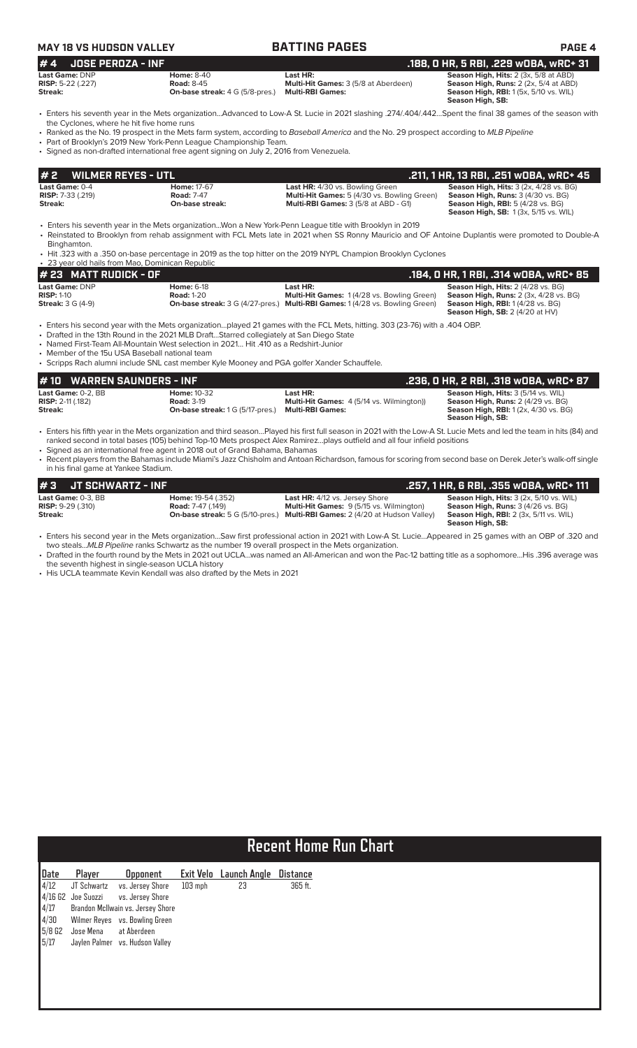|--|

**MAY 18 IS A VALUE ASSESS THE PAGE 4 Last Game: DNP Home: 6-18 Last HR: Season High, Hits:** 2 (4/28 vs. BG)<br> **RISP:** 1-10 **Risp:** 1-10 **Road:** 1-20 **Multi-Hit Games:** 1 (4/28 vs. Bowling Green) **Season High, Runs:** 2 (3x 4/28 vs. **RISP:** 1-10 **Road:** 1-20 **Road: 1-20 Multi-Hit Games:** 1 (4/28 vs. Bowling Green) **Season High, Runs: 2** (3x, 4/28 vs. BG)<br>**Streak: 3** G (4-21) **On-base streak: 3** G (4/27-pres.) **Multi-RBI Games:** 1 (4/28 vs. Bowling G **Stream: 120 On-base streak:** 3 G (4/27-pres.) **Multi-RBI Games:** 1 (4/28 vs. Bowling Green) **Season High, SB:** 2 (4/20 at HV) • Enters his second year with the Mets organization…played 21 games with the FCL Mets, hitting. 303 (23-76) with a .404 OBP. • Drafted in the 13th Round in the 2021 MLB Draft…Starred collegiately at San Diego State • Named First-Team All-Mountain West selection in 2021… Hit .410 as a Redshirt-Junior • Member of the 15u USA Baseball national team **# 23 MATT RUDICK - OF .184, 0 HR, 1 RBI, .314 wOBA, wRC+ 85 # 2 WILMER REYES - UTL .211, 1 HR, 13 RBI, .251 wOBA, wRC+ 45 Last Game:** 0-4 **Home:** 17-67 **Last HR:** 4/30 vs. Bowling Green **Season High, Hits:** 3 (2x, 4/28 vs. BG) **RISP:** 7-33 (.219) **Road:** 7-47 **Multi-Hit Games:** 5 (4/30 vs. Bowling Green) **Season High, Runs:** 3 (4/30 vs. BG) **Streak: On-base streak: Multi-RBI Games:** 3 (5/8 at ABD - G1) **Season High, RBI:** 5 (4/28 vs. BG) **Season High, SB:** 1 (3x, 5/15 vs. WIL) • Enters his seventh year in the Mets organization...Won a New York-Penn League title with Brooklyn in 2019 • Reinstated to Brooklyn from rehab assignment with FCL Mets late in 2021 when SS Ronny Mauricio and OF Antoine Duplantis were promoted to Double-A **Binghamton** • Hit .323 with a .350 on-base percentage in 2019 as the top hitter on the 2019 NYPL Champion Brooklyn Cyclones rar old hails from Mao, Dominican Rep **# 4 JOSE PEROZA - INF .188, 0 HR, 5 RBI, .229 wOBA, wRC+ 31 Last Game:** DNP **Home:** 8-40 **Last HR: Season High, Hits:** 2 (3x, 5/8 at ABD) **RISP:** 5-22 (.227) **Road: 8-45 Multi-Hit Games: 3 (5/8 at Aberdeen) Season High, Runs: 2 (2x, 5/4 at ABD)**<br> **Season High, Runs: 2 (2x, 5/4 at ABD) On-base streak: 4 G (5/8-pres.) Multi-RBI Games: 3 (5/8 at Aberdeen) Season High, RBI:** 1 (5x, 5/10 vs. WIL) **Season High, SB:**  • Enters his seventh year in the Mets organization...Advanced to Low-A St. Lucie in 2021 slashing .274/.404/.442…Spent the final 38 games of the season with the Cyclones, where he hit five home runs • Ranked as the No. 19 prospect in the Mets farm system, according to *Baseball America* and the No. 29 prospect according to *MLB Pipeline* • Part of Brooklyn's 2019 New York-Penn League Championship Team. • Signed as non-drafted international free agent signing on July 2, 2016 from Venezuela.

• Scripps Rach alumni include SNL cast member Kyle Mooney and PGA golfer Xander Schauffele.

| # 10 WARREN SAUNDERS - INF                                  |                                                                                    |                                                                                         | .236, 0 HR, 2 RBI, .318 wOBA, wRC+ 87                                                                                                                       |
|-------------------------------------------------------------|------------------------------------------------------------------------------------|-----------------------------------------------------------------------------------------|-------------------------------------------------------------------------------------------------------------------------------------------------------------|
| Last Game: 0-2. BB<br><b>RISP:</b> $2-11$ (.182)<br>Streak: | <b>Home: 10-32</b><br><b>Road: 3-19</b><br><b>On-base streak:</b> 1 G (5/17-pres.) | Last HR:<br><b>Multi-Hit Games:</b> 4 (5/14 vs. Wilmington))<br><b>Multi-RBI Games:</b> | <b>Season High, Hits: 3 (5/14 vs. WIL)</b><br><b>Season High, Runs: 2 (4/29 vs. BG)</b><br><b>Season High, RBI:</b> 1 (2x, 4/30 vs. BG)<br>Season High, SB: |

• Enters his fifth year in the Mets organization and third season…Played his first full season in 2021 with the Low-A St. Lucie Mets and led the team in hits (84) and ranked second in total bases (105) behind Top-10 Mets prospect Alex Ramirez…plays outfield and all four infield positions

• Signed as an international free agent in 2018 out of Grand Bahama, Bahamas

• Recent players from the Bahamas include Miami's Jazz Chisholm and Antoan Richardson, famous for scoring from second base on Derek Jeter's walk-off single in his final game at Yankee Stadium.

| $\#3$ JT SCHWARTZ - INF    |                           |                                                                                    | . 257, 1 HR, 6 RBI, .355 wOBA, wRC+ 111.      |
|----------------------------|---------------------------|------------------------------------------------------------------------------------|-----------------------------------------------|
| Last Game: 0-3. BB         | <b>Home:</b> 19-54 (.352) | <b>Last HR:</b> 4/12 vs. Jersey Shore                                              | Season High, Hits: 3 (2x, 5/10 vs. WIL)       |
| <b>RISP:</b> $9-29$ (.310) | <b>Road:</b> 7-47 (.149)  | <b>Multi-Hit Games: 9 (5/15 vs. Wilmington)</b>                                    | <b>Season High, Runs: 3 (4/26 vs. BG)</b>     |
| Streak:                    |                           | <b>On-base streak:</b> 5 G (5/10-pres.) Multi-RBI Games: 2 (4/20 at Hudson Valley) | <b>Season High, RBI:</b> 2 (3x, 5/11 vs. WIL) |
|                            |                           |                                                                                    | Season High, SB:                              |

• Enters his second year in the Mets organization…Saw first professional action in 2021 with Low-A St. Lucie…Appeared in 25 games with an OBP of .320 and two steals...*MLB Pipeline* ranks Schwartz as the number 19 overall prospect in the Mets organization.

• Drafted in the fourth round by the Mets in 2021 out UCLA…was named an All-American and won the Pac-12 batting title as a sophomore…His .396 average was the seventh highest in single-season UCLA history

• His UCLA teammate Kevin Kendall was also drafted by the Mets in 2021

# **Recent Home Run Chart**

| Date                                      | Player               | <b>Opponent</b>                   |           | Exit Velo Launch Angle | Distance |
|-------------------------------------------|----------------------|-----------------------------------|-----------|------------------------|----------|
| 4/12                                      | JT Schwartz          | vs. Jersey Shore                  | $103$ mph | 23                     | 365 ft.  |
|                                           | $4/16$ G2 Joe Suozzi | vs. Jersey Shore                  |           |                        |          |
| $\begin{array}{ c }4/17\\4/30\end{array}$ |                      | Brandon McIlwain vs. Jersey Shore |           |                        |          |
|                                           |                      | Wilmer Reyes vs. Bowling Green    |           |                        |          |
| $5/8$ G2                                  | Jose Mena            | at Aberdeen                       |           |                        |          |
| 5/17                                      |                      | Jaylen Palmer vs. Hudson Valley   |           |                        |          |
|                                           |                      |                                   |           |                        |          |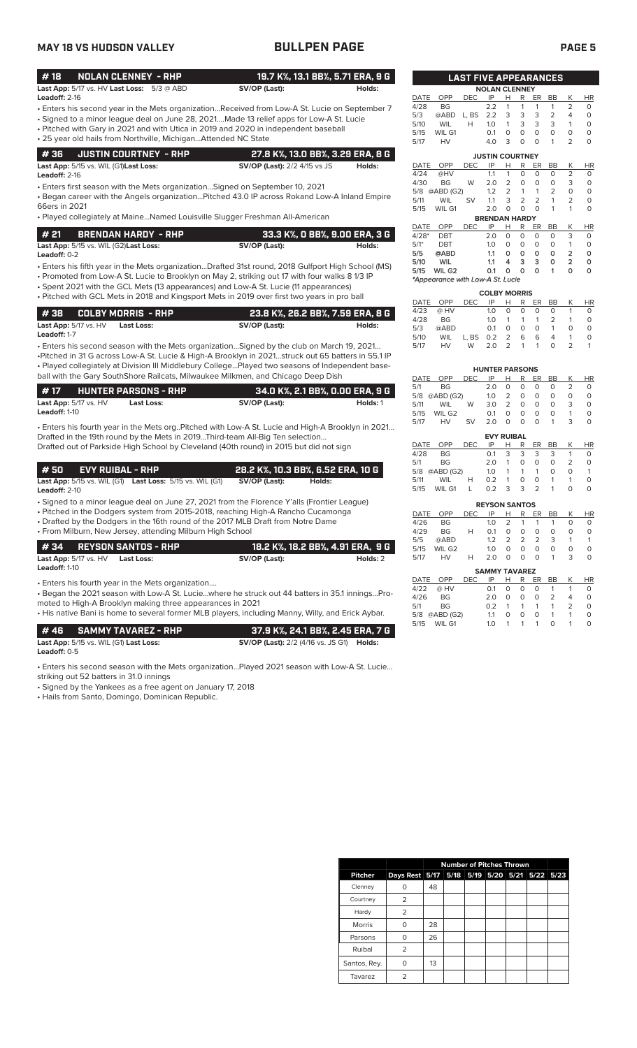## **MAY 18 VS HUDSON VALLEY BULLPEN PAGE PAGE 5**

| #18             | NOLAN CLENNEY - RHP                                            |               | 19.7 K%, 13.1 BB%, 5.71 ERA, 9 G |  |
|-----------------|----------------------------------------------------------------|---------------|----------------------------------|--|
|                 | <b>Last App:</b> $5/17$ vs. $HV$ <b>Last Loss:</b> $5/3$ @ ABD | SV/OP (Last): | Holds:                           |  |
| Leadoff: $2-16$ |                                                                |               |                                  |  |

- Enters his second year in the Mets organization...Received from Low-A St. Lucie on September 7
- Signed to a minor league deal on June 28, 2021....Made 13 relief apps for Low-A St. Lucie • Pitched with Gary in 2021 and with Utica in 2019 and 2020 in independent baseball
- 25 year old hails from Northville, Michigan...Attended NC State

| $\parallel$ # 36 $\parallel$ JUSTIN COURTNEY - RHP   | 27.8 K%, 13.0 BB%, 3.29 ERA, 8 G    |        |
|------------------------------------------------------|-------------------------------------|--------|
| <b>Last App:</b> 5/15 vs. WIL (G1) <b>Last Loss:</b> | <b>SV/OP (Last):</b> 2/2 4/15 vs JS | Holds: |

**Leadoff:** 2-16

• Enters first season with the Mets organization…Signed on September 10, 2021

• Began career with the Angels organization…Pitched 43.0 IP across Rokand Low-A Inland Empire 66ers in 2021

• Played collegiately at Maine…Named Louisville Slugger Freshman All-American

| l # 21 | <b>BRENDAN HARDY - RHP</b>                           |               | 33.3 K%, O BB%, 9.00 ERA, 3 G |
|--------|------------------------------------------------------|---------------|-------------------------------|
|        | <b>Last App:</b> 5/15 vs. WIL (G2) <b>Last Loss:</b> | SV/OP (Last): | Holds:                        |

• Enters his fifth year in the Mets organization...Drafted 31st round, 2018 Gulfport High School (MS) **Leadoff:** 0-2

• Promoted from Low-A St. Lucie to Brooklyn on May 2, striking out 17 with four walks 8 1/3 IP

• Spent 2021 with the GCL Mets (13 appearances) and Low-A St. Lucie (11 appearances) • Pitched with GCL Mets in 2018 and Kingsport Mets in 2019 over first two years in pro ball

| I # 38     COLBY MORRIS  - RHP   |            | 23.8 K%. 26.2 BB%. 7.59 ERA. 8 G |        |
|----------------------------------|------------|----------------------------------|--------|
| <b>Last App:</b> $5/17$ vs. $HV$ | Last Loss: | SV/OP (Last):                    | Holds: |
| Leadoff: 1-7                     |            |                                  |        |

• Enters his second season with the Mets organization…Signed by the club on March 19, 2021… •Pitched in 31 G across Low-A St. Lucie & High-A Brooklyn in 2021…struck out 65 batters in 55.1 IP • Played collegiately at Division III Middlebury College…Played two seasons of Independent baseball with the Gary SouthShore Railcats, Milwaukee Milkmen, and Chicago Deep Dish

| l#17.                |                                  | <b>HUNTER PARSONS - RHP</b> | . 34.0 K%, 2.1 BB%, 0.00 ERA, 9 G |          |
|----------------------|----------------------------------|-----------------------------|-----------------------------------|----------|
|                      | <b>Last App:</b> $5/17$ vs. $HV$ | Last Loss:                  | SV/OP (Last):                     | Holds: 1 |
| <b>Leadoff: 1-10</b> |                                  |                             |                                   |          |

• Enters his fourth year in the Mets org..Pitched with Low-A St. Lucie and High-A Brooklyn in 2021… Drafted in the 19th round by the Mets in 2019...Third-team All-Big Ten selection… Drafted out of Parkside High School by Cleveland (40th round) in 2015 but did not sign

| l # 50 | <b>EVY RUIBAL - RHP</b> |                                                                        |               | 28.2 K%, 10.3 BB%, 6.52 ERA, 10 G |
|--------|-------------------------|------------------------------------------------------------------------|---------------|-----------------------------------|
|        |                         | <b>Last App:</b> 5/15 vs. WIL (G1) <b>Last Loss:</b> 5/15 vs. WIL (G1) | SV/OP (Last): | Holds:                            |

**Leadoff:** 2-10

• Signed to a minor league deal on June 27, 2021 from the Florence Y'alls (Frontier League)

• Pitched in the Dodgers system from 2015-2018, reaching High-A Rancho Cucamonga

• Drafted by the Dodgers in the 16th round of the 2017 MLB Draft from Notre Dame • From Milburn, New Jersey, attending Milburn High School

| #34 REYSON SANTOS - RHP                                                   | 18.2 K%. 18.2 BB%. 4.91 ERA. 9 G |          |
|---------------------------------------------------------------------------|----------------------------------|----------|
| <b>Last App:</b> 5/17 vs. HV<br><b>Last Loss:</b><br><b>Leadoff: 1-10</b> | SV/OP (Last):                    | Holds: 2 |
| • Enters his fourth year in the Mets organization                         |                                  |          |

• Began the 2021 season with Low-A St. Lucie…where he struck out 44 batters in 35.1 innings…Promoted to High-A Brooklyn making three appearances in 2021

• His native Bani is home to several former MLB players, including Manny, Willy, and Erick Aybar.

|              | # 46      SAMMY TAVAREZ - RHP          | 37.9 K%. 24.1 BB%. 2.45 ERA. 7 G                        |  |
|--------------|----------------------------------------|---------------------------------------------------------|--|
|              | Last App: 5/15 vs. WIL (G1) Last Loss: | <b>SV/OP (Last):</b> 2/2 (4/16 vs. JS G1) <b>Holds:</b> |  |
| Leadoff: 0-5 |                                        |                                                         |  |

• Enters his second season with the Mets organization…Played 2021 season with Low-A St. Lucie…

striking out 52 batters in 31.0 innings

• Signed by the Yankees as a free agent on January 17, 2018

• Hails from Santo, Domingo, Dominican Republic.

|                        |                                  | <b>LAST FIVE APPEARANCES</b> |                      |                |                |                |                |                |          |  |  |
|------------------------|----------------------------------|------------------------------|----------------------|----------------|----------------|----------------|----------------|----------------|----------|--|--|
| <b>NOLAN CLENNEY</b>   |                                  |                              |                      |                |                |                |                |                |          |  |  |
| DATE                   | OPP                              | <b>DEC</b>                   | IP                   | н              | R              | ER             | BB             | Κ              | HR       |  |  |
| 4/28                   | <b>BG</b>                        |                              | 2.2                  | 1              | 1              | 1              | 1              | 2              | 0        |  |  |
| 5/3                    | @ABD                             | L. BS                        | 2.2                  | 3              | 3              | 3              | $\overline{2}$ | 4              | 0        |  |  |
| 5/10                   | WIL                              | н                            | 1.0                  | 1              | 3              | 3              | 3              | 1              | 0        |  |  |
| 5/15                   | WIL G1                           |                              | 0.1                  | 0              | $\Omega$       | $\Omega$       | $\Omega$       | 0              | 0        |  |  |
| 5/17                   | HV                               |                              | 4.0                  | 3              | O              | $\Omega$       | 1              | $\overline{2}$ | 0        |  |  |
| <b>JUSTIN COURTNEY</b> |                                  |                              |                      |                |                |                |                |                |          |  |  |
| <b>DATE</b>            | OPP                              | DEC                          | IP                   | н              | R              | ER             | <b>BB</b>      | Κ              | HR       |  |  |
| 4/24                   | @HV                              |                              | 1.1                  | 1              | 0              | $\Omega$       | $\Omega$       | $\overline{2}$ | 0        |  |  |
| 4/30                   | <b>BG</b>                        | W                            | 2.0                  | $\overline{2}$ | 0              | O              | O              | 3              | 0        |  |  |
| 5/8                    | @ABD (G2)                        |                              | 1.2                  | $\overline{2}$ | 1              | 1              | 2              | $\Omega$       | 0        |  |  |
| 5/11                   | WIL                              | SV                           | 1.1                  | 3              | $\overline{2}$ | $\overline{2}$ | 1              | $\overline{2}$ | 0        |  |  |
| 5/15                   | WIL G1                           |                              | 2.0                  | O              | $\Omega$       | $\Omega$       | 1              | 1              | $\Omega$ |  |  |
|                        |                                  |                              | <b>BRENDAN HARDY</b> |                |                |                |                |                |          |  |  |
| <b>DATE</b>            | OPP                              | <b>DEC</b>                   | IP                   | Н              | R              | ER             | BB             | Κ              | HR       |  |  |
| $4/28*$                | DBT                              |                              | 2.0                  | $\Omega$       | $\Omega$       | $\Omega$       | $\Omega$       | 3              | O        |  |  |
| $5/1*$                 | DBT                              |                              | 1.0                  | 0              | O              | $\Omega$       | $\Omega$       | 1              | 0        |  |  |
| 5/5                    | @ABD                             |                              | 1.1                  | о              | ٥              | ٥              | 0              | 2              | 0        |  |  |
| 5/10                   | <b>WIL</b>                       |                              | 1.1                  | 4              | 3              | 3              | 0              | $\overline{2}$ | 0        |  |  |
| 5/15                   | WIL G2                           |                              | 0.1                  | 0              | 0              | Ο              | 1              | 0              | O        |  |  |
|                        | *Appearance with Low-A St. Lucie |                              |                      |                |                |                |                |                |          |  |  |
| <b>COLBY MORRIS</b>    |                                  |                              |                      |                |                |                |                |                |          |  |  |

|      |            |            | טואו ועשט |          |          |          |          |               |           |
|------|------------|------------|-----------|----------|----------|----------|----------|---------------|-----------|
|      | DATE OPP   | DEC.       | IP -      | H        |          |          | R ER BB  | K             | <b>HR</b> |
| 4/23 | $@$ HV     |            | 1.0       | $\Omega$ | $\Omega$ | $\Omega$ | $\Omega$ |               | 0         |
| 4/28 | BG.        |            | 1.0       |          |          | 1 1 1 2  |          |               | O         |
| 5/3  | @ABD       |            | 0.1       | $\Omega$ | $\Omega$ | $\Omega$ | 1        | O             | $\Omega$  |
| 5/10 | <b>WIL</b> | L.BS 0.2 2 |           |          | 6        | 6        | 4        |               | O         |
| 5/17 | <b>HV</b>  | W          | 2.0 2 1 1 |          |          |          | O        | $\mathcal{L}$ |           |

|      |            |            | <b>HUNTER PARSONS</b> |   |          |    |    |               |          |
|------|------------|------------|-----------------------|---|----------|----|----|---------------|----------|
| DATE | <b>OPP</b> | DEC        | IP                    | н | R        | ER | BВ | Κ             | ΗR       |
| 5/1  | BG         |            | 2.0                   | O | 0        | 0  | O  | $\mathcal{P}$ | O        |
| 5/8  | @ABD (G2)  |            | 1.0                   | 2 | 0        | O  | O  | O             | O        |
| 5/11 | WIL        | W          | 3.0                   | 2 | $\Omega$ | O  | O  | 3             | O        |
| 5/15 | WIL G2     |            | 0.1                   | O | O        | O  | O  | 1             | O        |
| 5/17 | HV         | <b>SV</b>  | 2.0                   | O | O        | O  | 1  | 3             | $\Omega$ |
|      |            |            | <b>EVY RUIBAL</b>     |   |          |    |    |               |          |
| DATE | OPP        | <b>DEC</b> | IP                    | н | R        | ER | ВB | Κ             | HR       |

|      | DAIE UPP DEUIP IN KERDD KINK |   |     |  |             |               |                |          |
|------|------------------------------|---|-----|--|-------------|---------------|----------------|----------|
| 4/28 | BG.                          |   |     |  | 0.1 3 3 3 3 |               | $\overline{1}$ | $\Omega$ |
|      | 5/1 BG                       |   | 2.0 |  | 1 0 0       | $\Omega$      | 2              | 0        |
|      | 5/8 @ABD (G2)                |   |     |  |             | 1.0 1 1 1 0   | $\Omega$       |          |
|      | 5/11 WIL                     | H |     |  |             | 0.2 1 0 0 1 1 |                | $\Omega$ |
| 5/15 | WILG1 L 0.2 3 3 2 1          |   |     |  |             |               | O              |          |

|      |           |     | <b>REYSON SANTOS</b> |                  |               |               |    |   |                                    |
|------|-----------|-----|----------------------|------------------|---------------|---------------|----|---|------------------------------------|
| DATE | OPP       | DEC | IP                   | н                | R             | ER.           | BB | Κ | ΗR                                 |
| 4/26 | BG        |     | 1 $\Omega$           | $\mathcal{L}$    | 1             | 1             | 1  | O | O                                  |
| 4/29 | <b>BG</b> | н   | $\Omega$ 1           | O                | Ο             | 0             | Ω  | O | O                                  |
| 5/5  | @ABD      |     | 12                   | $\mathcal{L}$    | $\mathcal{P}$ | $\mathcal{P}$ | 3  |   |                                    |
| 5/15 | WIL G2    |     | 1 $\Omega$           |                  | Ω             | Ω             | O  | O | O                                  |
| 5/17 | HV        | н   | 2 O                  | $\left( \right)$ | $\mathbf{O}$  | $\Omega$      |    | ੨ | $\scriptstyle\rm\scriptstyle{(1)}$ |

|      |               |            | <b>SAMMY TAVAREZ</b> |   |   |     |                |                |                   |
|------|---------------|------------|----------------------|---|---|-----|----------------|----------------|-------------------|
| DATE | OPP           | <b>DEC</b> | IP                   | н | R | ER. | BB             | K              | <b>HR</b>         |
| 4/22 | @ HV          |            | $\Omega$ 1           | O | O | 0   | 1              |                | O                 |
| 4/26 | <b>BG</b>     |            | 2 O                  | O | O | O   | $\mathcal{P}$  | $\overline{4}$ | O                 |
| 5/1  | <b>BG</b>     |            | 02                   |   | 1 | 1   | $\overline{1}$ | $\mathcal{P}$  | O                 |
|      | 5/8 @ABD (G2) |            | 11                   | O | O | O   | -1             | -1             | Ω                 |
| 5/15 | WIL G1        |            | 1 O                  |   | 1 | 1   | $\Omega$       | 1              | $\mathbf{\Omega}$ |

|                |                                              | <b>Number of Pitches Thrown</b> |  |  |  |  |  |  |
|----------------|----------------------------------------------|---------------------------------|--|--|--|--|--|--|
| <b>Pitcher</b> | Days Rest 5/17 5/18 5/19 5/20 5/21 5/22 5/23 |                                 |  |  |  |  |  |  |
| Clenney        |                                              | 48                              |  |  |  |  |  |  |
| Courtney       | 2                                            |                                 |  |  |  |  |  |  |
| Hardy          | $\overline{2}$                               |                                 |  |  |  |  |  |  |
| Morris         | ∩                                            | 28                              |  |  |  |  |  |  |
| Parsons        | O                                            | 26                              |  |  |  |  |  |  |
| Ruibal         | 2                                            |                                 |  |  |  |  |  |  |
| Santos, Rey.   | ∩                                            | 13                              |  |  |  |  |  |  |
| Tavarez        | $\overline{2}$                               |                                 |  |  |  |  |  |  |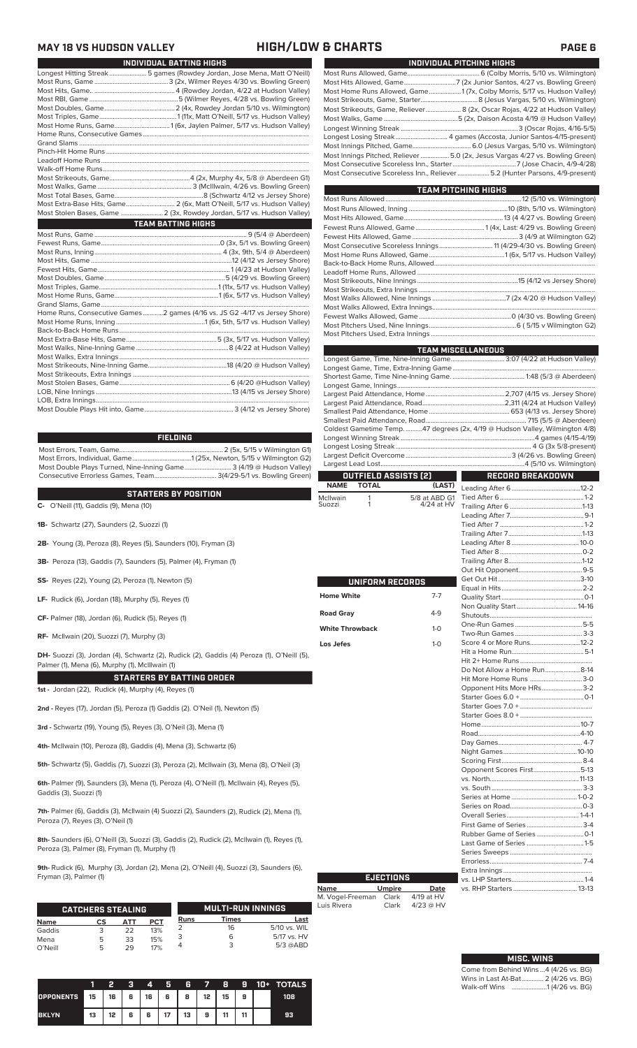## **MAY 18 VS HUDSON VALLEY HIGH/LOW & CHARTS PAGE 6**

| INDIVIDUAL BATTING HIGHS                                                   |
|----------------------------------------------------------------------------|
| Longest Hitting Streak  5 games (Rowdey Jordan, Jose Mena, Matt O'Neill)   |
|                                                                            |
|                                                                            |
|                                                                            |
|                                                                            |
|                                                                            |
| Most Home Runs, Game1 (6x, Jaylen Palmer, 5/17 vs. Hudson Valley)          |
|                                                                            |
|                                                                            |
|                                                                            |
|                                                                            |
|                                                                            |
|                                                                            |
|                                                                            |
|                                                                            |
| Most Extra-Base Hits, Game 2 (6x, Matt O'Neill, 5/17 vs. Hudson Valley)    |
| Most Stolen Bases, Game  2 (3x, Rowdey Jordan, 5/17 vs. Hudson Valley)     |
| <b>TEAM BATTING HIGHS</b>                                                  |
|                                                                            |
|                                                                            |
|                                                                            |
|                                                                            |
|                                                                            |
|                                                                            |
|                                                                            |
|                                                                            |
|                                                                            |
|                                                                            |
| Home Runs, Consecutive Games2 games (4/16 vs. JS G2 -4/17 vs Jersey Shore) |
|                                                                            |
|                                                                            |
|                                                                            |

**FIELDING**

Most Errors, Team, Game.............................................................. 2 (5x, 5/15 v Wilmington G1) Most Errors, Individual, Game...................................1 (25x, Newton, 5/15 v Wilmington G2) Most Double Plays Turned, Nine-Inning Game............................ 3 (4/19 @ Hudson Valley) Consecutive Errorless Games, Team..................................... 3(4/29-5/1 vs. Bowling Green)

### **STARTERS BY POSITION**

STARTERS BY PUSITION<br>C- O'Neill (11), Gaddis (9), Mena (10)<br>Suo:

- **1B-** Schwartz (27), Saunders (2, Suozzi (1)
- **2B-** Young (3), Peroza (8), Reyes (5), Saunders (10), Fryman (3)
- **3B-** Peroza (13), Gaddis (7), Saunders (5), Palmer (4), Fryman (1)
- **SS-** Reyes (22), Young (2), Peroza (1), Newton (5)
- **LF-** Rudick (6), Jordan (18), Murphy (5), Reyes (1)
- **CF-** Palmer (18), Jordan (6), Rudick (5), Reyes (1)
- **RF-** McIlwain (20), Suozzi (7), Murphy (3)

**DH-** Suozzi (3), Jordan (4), Schwartz (2), Rudick (2), Gaddis (4) Peroza (1), O'Neill (5), Palmer (1), Mena (6), Murphy (1), McIllwain (1)

### **STARTERS BY BATTING ORDER**

**1st -** Jordan (22), Rudick (4), Murphy (4), Reyes (1)

**2nd -** Reyes (17), Jordan (5), Peroza (1) Gaddis (2). O'Neil (1), Newton (5)

**3rd -** Schwartz (19), Young (5), Reyes (3), O'Neil (3), Mena (1)

**4th-** McIlwain (10), Peroza (8), Gaddis (4), Mena (3), Schwartz (6)

**5th-** Schwartz (5), Gaddis (7), Suozzi (3), Peroza (2), McIlwain (3), Mena (8), O'Neil (3)

**6th-** Palmer (9), Saunders (3), Mena (1), Peroza (4), O'Neill (1), McIlwain (4), Reyes (5), Gaddis (3), Suozzi (1)

**7th-** Palmer (6), Gaddis (3), McIlwain (4) Suozzi (2), Saunders (2), Rudick (2), Mena (1), Peroza (7), Reyes (3), O'Neil (1)

**8th-** Saunders (6), O'Neill (3), Suozzi (3), Gaddis (2), Rudick (2), McIlwain (1), Reyes (1), Peroza (3), Palmer (8), Fryman (1), Murphy (1)

**9th-** Rudick (6), Murphy (3), Jordan (2), Mena (2), O'Neill (4), Suozzi (3), Saunders (6), Fryman (3), Palmer (1)

|             | <b>CATCHERS STEALING</b> |     |            |      | <b>MULTI-RUN INNINGS</b> |              |
|-------------|--------------------------|-----|------------|------|--------------------------|--------------|
| <b>Name</b> | СS                       | ΔТΤ | <b>PCT</b> | Runs | Times                    | Last         |
| Gaddis      |                          | 22  | 13%        |      | 16                       | 5/10 vs. WIL |
| Mena        | 5                        | 33  | 15%        |      | ь                        | 5/17 vs. HV  |
| O'Neill     | 5                        | 29  | 17%        |      |                          | $5/3$ @ABD   |

|                  |    | 2  | з | 4  | И  | 6  | $\overline{ }$ | 8  | я  | 10+ | <b>TOTALS</b> |
|------------------|----|----|---|----|----|----|----------------|----|----|-----|---------------|
| <b>OPPONENTS</b> | 15 | 16 | 6 | 16 | 6  | 8  | 12             | 15 | 9  |     | 108           |
| <b>BKLYN</b>     | 13 | 12 | 6 | 6  | 17 | 13 | 9              | 11 | 44 |     | 93            |

| INDIVIDUAL PITCHING HIGHS                                                                                                                                     |
|---------------------------------------------------------------------------------------------------------------------------------------------------------------|
|                                                                                                                                                               |
|                                                                                                                                                               |
| Most Home Runs Allowed, Game1 (7x, Colby Morris, 5/17 vs. Hudson Valley)                                                                                      |
|                                                                                                                                                               |
| Most Strikeouts, Game, Reliever 8 (2x, Oscar Rojas, 4/22 at Hudson Valley)                                                                                    |
|                                                                                                                                                               |
|                                                                                                                                                               |
|                                                                                                                                                               |
|                                                                                                                                                               |
| Most Innings Pitched, Reliever  5.0 (2x, Jesus Vargas 4/27 vs. Bowling Green)<br>Most Consecutive Scoreless Inn., Reliever  5.2 (Hunter Parsons, 4/9-present) |

| <b>TEAM PITCHING HIGHS</b>                                          |  |
|---------------------------------------------------------------------|--|
|                                                                     |  |
|                                                                     |  |
|                                                                     |  |
|                                                                     |  |
|                                                                     |  |
| Most Consecutive Scoreless Innings 11 (4/29-4/30 vs. Bowling Green) |  |
|                                                                     |  |
|                                                                     |  |
|                                                                     |  |
|                                                                     |  |
|                                                                     |  |
|                                                                     |  |
|                                                                     |  |
|                                                                     |  |
|                                                                     |  |
|                                                                     |  |

|                        |                 |                      | <b>TEAM MISCELLANEOUS</b>                                                    |  |
|------------------------|-----------------|----------------------|------------------------------------------------------------------------------|--|
|                        |                 |                      | Longest Game, Time, Nine-Inning Game 3:07 (4/22 at Hudson Valley)            |  |
|                        |                 |                      |                                                                              |  |
|                        |                 |                      |                                                                              |  |
|                        |                 |                      |                                                                              |  |
|                        |                 |                      |                                                                              |  |
|                        |                 |                      |                                                                              |  |
|                        |                 |                      |                                                                              |  |
|                        |                 |                      | Coldest Gametime Temp. 47 degrees (2x, 4/19 @ Hudson Valley, Wilmington 4/8) |  |
|                        |                 |                      |                                                                              |  |
|                        |                 |                      |                                                                              |  |
|                        |                 |                      |                                                                              |  |
|                        |                 |                      |                                                                              |  |
|                        |                 | OUTFIELD ASSISTS (2) | <b>RECORD BREAKDOWN</b>                                                      |  |
| <b>NAME</b>            | <b>TOTAL</b>    | (LAST)               |                                                                              |  |
| McIlwain               | 1               | 5/8 at ABD G1        |                                                                              |  |
| Suozzi                 | 1               | $4/24$ at HV         |                                                                              |  |
|                        |                 |                      |                                                                              |  |
|                        |                 |                      |                                                                              |  |
|                        |                 |                      |                                                                              |  |
|                        |                 |                      |                                                                              |  |
|                        |                 |                      |                                                                              |  |
|                        |                 |                      |                                                                              |  |
|                        |                 |                      |                                                                              |  |
|                        | UNIFORM RECORDS |                      |                                                                              |  |
| <b>Home White</b>      |                 | $7 - 7$              |                                                                              |  |
|                        |                 |                      |                                                                              |  |
| <b>Road Gray</b>       |                 | $4-9$                |                                                                              |  |
| <b>White Throwback</b> |                 | $1-0$                |                                                                              |  |
|                        |                 |                      |                                                                              |  |
| Los Jefes              |                 | $1 - 0$              |                                                                              |  |
|                        |                 |                      |                                                                              |  |
|                        |                 |                      |                                                                              |  |
|                        |                 |                      | Do Not Allow a Home Run8-14                                                  |  |
|                        |                 |                      | Hit More Home Runs 3-0<br>Opponent Hits More HRs 3-2                         |  |
|                        |                 |                      |                                                                              |  |
|                        |                 |                      |                                                                              |  |
|                        |                 |                      |                                                                              |  |
|                        |                 |                      |                                                                              |  |
|                        |                 |                      |                                                                              |  |
|                        |                 |                      |                                                                              |  |
|                        |                 |                      |                                                                              |  |
|                        |                 |                      |                                                                              |  |
|                        |                 |                      | Opponent Scores First5-13                                                    |  |
|                        |                 |                      |                                                                              |  |
|                        |                 |                      |                                                                              |  |
|                        |                 |                      |                                                                              |  |
|                        |                 |                      |                                                                              |  |
|                        |                 |                      |                                                                              |  |
|                        |                 |                      |                                                                              |  |
|                        |                 |                      |                                                                              |  |
|                        |                 |                      |                                                                              |  |

|                  | <b>EJECTIONS</b> |             |
|------------------|------------------|-------------|
| <b>Name</b>      | <b>Umpire</b>    | Date        |
| M. Vogel-Freeman | Clark            | 4/19 at HV  |
| Luis Rivera      | Clark            | $4/23$ @ HV |

| <b>MISC. WINS</b>                     |
|---------------------------------------|
| Come from Behind Wins 4 (4/26 vs. BG) |
| Wins in Last At-Bat 2 (4/26 vs. BG)   |

Errorless....................................................... 7-4 Extra Innings .....................................................

vs. RHP Starters ...................................... 13-13

vs. LHP Starters.

 $\overline{\phantom{a}}$ 

Walk-off Wins .....................1 (4/26 vs. BG)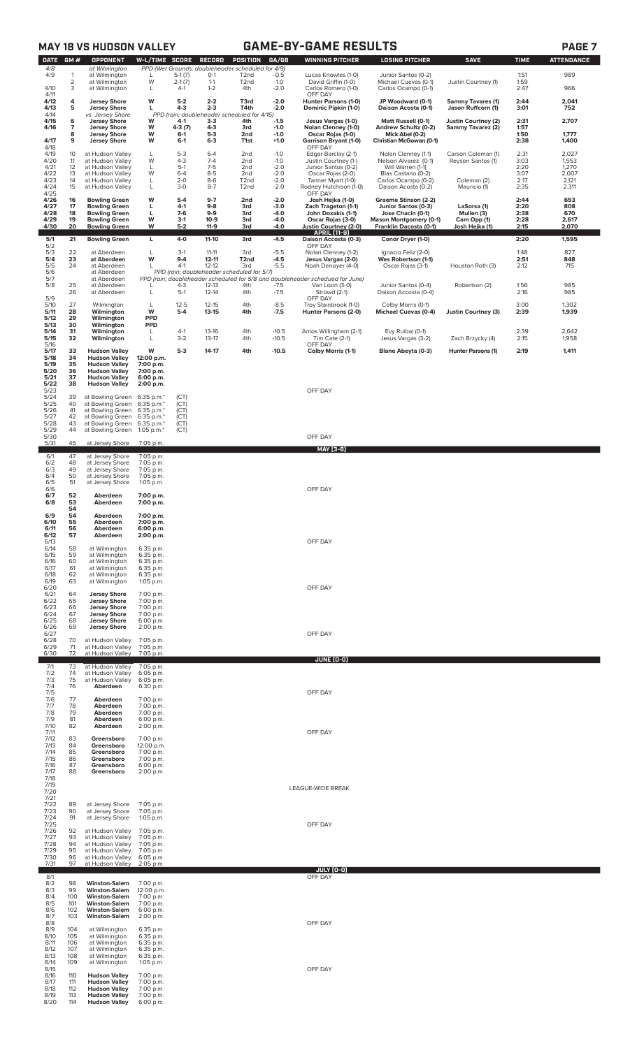| <b>W-L/TIME SCORE</b><br>PPD (Wet Grounds; doubleheader scheduled for 4/9)<br>4/8<br>at Wilmington<br>4/9<br>$-0.5$<br>989<br>$5-1(7)$<br>1:51<br>$\overline{1}$<br>at Wilmington<br>$0-1$<br>T <sub>2</sub> nd<br>Lucas Knowles (1-0)<br>Junior Santos (0-2)<br>$\sqrt{2}$<br>W<br>1:59<br>$1 - 1$<br>$-1.0$<br>at Wilmington<br>$2-1(7)$<br>T <sub>2</sub> nd<br>David Griffin (1-0)<br>Michael Cuevas (0-1)<br>Justin Courtney (1)<br>3<br>4/10<br>at Wilmington<br>$4-1$<br>$1 - 2$<br>4th<br>$-2.0$<br>Carlos Romero (1-0)<br>Carlos Ocampo (0-1)<br>2:47<br>966<br>L<br>4/11<br>OFF DAY<br>4<br>W<br>$2 - 2$<br>4/12<br>$5-2$<br>$-2.0$<br>Hunter Parsons (1-0)<br>JP Woodward (0-1)<br>2:44<br>2,041<br><b>Jersey Shore</b><br>T3rd<br><b>Sammy Tavares (1)</b><br>5<br>4/13<br>L<br>$4 - 3$<br>$2 - 3$<br>T4th<br>-2.0<br>Dominic Pipkin (1-0)<br>3:01<br><b>Jersey Shore</b><br>Daison Acosta (0-1)<br>Jason Ruffcorn (1)<br>752<br>4/14<br>PPD (rain; doubleheader<br>scheduled for 4/16)<br>vs. Jersey Shore<br>4/15<br>6<br><b>Jersey Shore</b><br>$4-1$<br>$3 - 3$<br>4th<br>$-1.5$<br>Jesus Vargas (1-0)<br>Matt Russell (0-1)<br>Justin Courtney (2)<br>2:31<br>2,707<br>W<br>4/16<br>7<br><b>Jersey Shore</b><br>W<br>4-3 (7)<br>4-3<br>3rd<br>$-1.0$<br>Nolan Clenney (1-0)<br>Andrew Schultz (0-2)<br>Sammy Tavarez (2)<br>1:57<br>$5-3$<br>8<br>W<br>$-1.0$<br>Oscar Rojas (1-0)<br>Mick Abel (0-2)<br>1:50<br>1,777<br><b>Jersey Shore</b><br>$6-1$<br>2nd<br>4/17<br>2:38<br>9<br><b>Jersey Shore</b><br>W<br>$6 - 1$<br>$6 - 3$<br>$+1.0$<br><b>Garrison Bryant (1-0)</b><br>Christian McGowan (0-1)<br>1,400<br>T <sub>1st</sub><br>4/18<br>OFF DAY<br>4/19<br>$5 - 3$<br>$6 - 4$<br>$-1.0$<br>2,027<br>10<br>at Hudson Valley<br>2nd<br>Edgar Barclay (2-1)<br>Nolan Clenney (1-1)<br>Carson Coleman (1)<br>2:31<br>L<br>4/20<br>11<br>W<br>$4 - 3$<br>$7 - 4$<br>3:03<br>at Hudson Valley<br>2nd<br>$-1.0$<br>Justin Courtney (1-)<br>Nelson Alvarez (0-1)<br>1,553<br>Reyson Santos (1)<br>$7-5$<br>4/21<br>12<br>$5-1$<br>$-2.0$<br>2:20<br>1,270<br>at Hudson Valley<br>L<br>2nd<br>Junior Santos (0-2)<br>Will Warren (1-1)<br>4/22<br>13<br>W<br>$6 - 4$<br>$8 - 5$<br>$-2.0$<br>3:07<br>at Hudson Valley<br>2nd<br>Oscar Rojas (2-0)<br>Blas Castano (0-2)<br>2,007<br>4/23<br>14<br>at Hudson Valley<br>$2 - 0$<br>$8-6$<br>$-2.0$<br>Tanner Myatt (1-0)<br>Carlos Ocampo (0-2)<br>2:17<br>2,121<br>L<br>T <sub>2</sub> nd<br>Coleman (2)<br>4/24<br>15<br>at Hudson Valley<br>Г<br>$3-0$<br>$8-7$<br>T <sub>2</sub> nd<br>$-2.0$<br>Rodney Hutchison (1-0)<br>Daison Acosta (0-2)<br>Mauricio (1)<br>2:35<br>2.311<br>4/25<br>OFF DAY<br>4/26<br>$9-7$<br>16<br>w<br>$5-4$<br>2nd<br>-2.0<br>Josh Hejka (1-0)<br>2:44<br>653<br><b>Bowling Green</b><br>Graeme Stinson (2-2)<br>4/27<br>17<br><b>Bowling Green</b><br>L<br>$4-1$<br>$9 - 8$<br>3rd<br>-3.0<br>Zach Trageton (1-1)<br>Junior Santos (0-3)<br>LaSorsa (1)<br>2:20<br>808<br>4/28<br>18<br><b>Bowling Green</b><br>г<br>$7-6$<br>$9-9$<br>-4.0<br>John Doxakis (1-1)<br>Mullen (3)<br>2:38<br>670<br>3rd<br>Jose Chacin (0-1)<br>4/29<br>19<br>W<br>$3-1$<br>$10-9$<br>3rd<br>-4.0<br><b>Mason Montgomery (0-1)</b><br>Cam Opp (1)<br>2:28<br>2,617<br><b>Bowling Green</b><br>Oscar Rojas (3-0)<br>4/30<br>20<br>W<br>$5-2$<br>11-9<br>-4.0<br>Franklin Dacosta (0-1)<br>2:15<br>2,070<br><b>Bowling Green</b><br>3rd<br>Justin Courtney (2-0)<br>Josh Hejka (1)<br><b>APRIL [11-9]</b><br>5/1<br>21<br>$-4.5$<br>Conor Dryer (1-0)<br>2:20<br>1,595<br><b>Bowling Green</b><br>L<br>4-0<br>$11 - 10$<br>3rd<br>Daison Accosta (0-3)<br>5/2<br>OFF DAY<br>5/3<br>22<br>827<br>$3-1$<br>$11 - 11$<br>3rd<br>$-5.5$<br>Nolan Clenney (1-2)<br>Ignacio Feliz (2-0)<br>1:48<br>at Aberdeen<br>L<br>5/4<br>23<br>W<br>$9 - 4$<br>$12 - 11$<br>T <sub>2nd</sub><br>$-4.5$<br>2:51<br>Jesus Vargas (2-0)<br>848<br>at Aberdeen<br>Wes Robertson (1-1)<br>$\frac{5}{5}$<br>$4-1$<br>$12 - 12$<br>24<br>$-5.5$<br>2:12<br>715<br>at Aberdeen<br>L<br>3rd<br>Noah Denoyer (4-0)<br>Oscar Rojas (3-1)<br>Houston Roth (3)<br>PPD (rain; doubleheader scheduled for 5/7)<br>at Aberdeen<br>5/7<br>PPD (rain; doubleheader scheduled for 5/8 and doubleheader schedued for June)<br>at Aberdeen<br>5/8<br>985<br>25<br>$12 - 13$<br>1:56<br>at Aberdeen<br>4-3<br>4th<br>$-7.5$<br>Van Loon (3-0)<br>Junior Santos (0-4)<br>Robertson (2)<br>L<br>26<br>Г<br>$5-1$<br>$12 - 14$<br>4th<br>$-7.5$<br>985<br>at Aberdeen<br>Strowd (2-1)<br>Daison Accosta (0-4)<br>2:16<br>5/9<br>OFF DAY<br>27<br>$-8.5$<br>3:00<br>5/10<br>L<br>$12 - 5$<br>$12 - 15$<br>4th<br>Troy Stainbrook (1-0)<br>Colby Morris (0-1)<br>1,302<br>Wilmington<br>W<br>5/11<br>28<br>$5 - 4$<br>$13 - 15$<br>4th<br>$-7.5$<br>Hunter Parsons (2-0)<br><b>Michael Cuevas (0-4)</b><br>2:39<br>1,939<br>Wilmington<br><b>Justin Courtney (3)</b><br>5/12<br>PPD<br>29<br>Wilmington<br>5/13<br><b>PPD</b><br>30<br>Wilmington<br>5/14<br>31<br>Wilmington<br>$4-1$<br>$13-16$<br>4th<br>$-10.5$<br>Amos Willingham (2-1)<br>Evy Ruibal (0-1)<br>2:39<br>2,642<br>L<br>5/15<br>32<br>Wilmington<br>L<br>$3-2$<br>$13-17$<br>4th<br>$-10.5$<br>Tim Cate (2-1)<br>Jesus Vargas (3-2)<br>2:15<br>1,958<br>Zach Brzycky (4)<br>5/16<br>OFF DAY<br>W<br>$5-3$<br>14-17<br>2:19<br>1,411<br>5/17<br>33<br>4th<br>$-10.5$<br><b>Hudson Valley</b><br>Colby Morris (1-1)<br><b>Blane Abeyta (0-3)</b><br>Hunter Parsons (1)<br>5/18<br>34<br>12:00 p.m.<br><b>Hudson Valley</b><br>5/19<br>35<br><b>Hudson Valley</b><br>7:00 p.m.<br>5/20<br>36<br><b>Hudson Valley</b><br>7:00 p.m.<br>5/21<br>37<br><b>Hudson Valley</b><br>6:00 p.m.<br>5/22<br>38<br><b>Hudson Valley</b><br>2:00 p.m.<br>5/23<br>OFF DAY<br>5/24<br>39<br>at Bowling Green<br>6:35 p.m.*<br>(CT)<br>5/25<br>40<br>at Bowling Green<br>6:35 p.m.*<br>(CT)<br>5/26<br>41<br>at Bowling Green<br>6:35 p.m.*<br>(CT)<br>5/27<br>42<br>at Bowling Green<br>6:35 p.m.*<br>(CT)<br>5/28<br>at Bowling Green<br>(CT)<br>43<br>6:35 p.m.*<br>5/29<br>44<br>at Bowling Green<br>1:05 p.m. $*$<br>(CT)<br>OFF DAY<br>5/30<br>5/31<br>45<br>at Jersey Shore<br>7:05 p.m.<br><u>MAY [3-8]</u><br>6/1<br>47<br>at Jersey Shore<br>7:05 p.m.<br>6/2<br>48<br>at Jersey Shore<br>7:05 p.m.<br>6/3<br>49<br>at Jersey Shore<br>7:05 p.m.<br>6/4<br>50<br>at Jersey Shore<br>7:05 p.m.<br>6/5<br>51<br>at Jersey Shore<br>1:05 p.m.<br>6/6<br>OFF DAY<br>6/7<br>52<br>Aberdeen<br>7:00 p.m.<br>53<br>6/8<br>Aberdeen<br>7:00 p.m.<br>54<br>54<br>7:00 p.m.<br>6/9<br>Aberdeen<br>6/10<br>55<br>Aberdeen<br>7:00 p.m.<br>56<br>6/11<br>Aberdeen<br>6:00 p.m.<br>57<br>6/12<br>Aberdeen<br>2:00 p.m.<br>OFF DAY<br>6/13<br>6/14<br>58<br>at Wilmington<br>6:35 p.m.<br>6/15<br>59<br>at Wilmington<br>6:35 p.m.<br>6/16<br>60<br>at Wilmington<br>6:35 p.m.<br>6/17<br>61<br>at Wilmington<br>6:35 p.m.<br>6/18<br>at Wilmington<br>62<br>6:35 p.m.<br>6/19<br>63<br>at Wilmington<br>1:05 p.m.<br>6/20<br>OFF DAY<br>6/21<br>64<br><b>Jersey Shore</b><br>7:00 p.m.<br>6/22<br>65<br><b>Jersey Shore</b><br>7:00 p.m.<br>6/23<br><b>Jersey Shore</b><br>66<br>7:00 p.m.<br>6/24<br>67<br><b>Jersey Shore</b><br>7:00 p.m.<br>6/25<br>68<br><b>Jersey Shore</b><br>6:00 p.m.<br>6/26<br>69<br><b>Jersey Shore</b><br>2:00 p.m.<br>6/27<br>OFF DAY<br>6/28<br>at Hudson Valley<br>70<br>7:05 p.m.<br>6/29<br>at Hudson Valley<br>71<br>7:05 p.m.<br>6/30<br>at Hudson Valley<br>72<br>7:05 p.m.<br>JUNE (0-0)<br>7/1<br>73<br>at Hudson Valley<br>7:05 p.m.<br>7/2<br>74<br>at Hudson Valley<br>6:05 p.m.<br>7/3<br>75<br>at Hudson Valley<br>6:05 p.m.<br>7/4<br>76<br>Aberdeen<br>6:30 p.m.<br>7/5<br>OFF DAY<br>7/6<br>77<br>7:00 p.m.<br>Aberdeen<br>7/7<br>78<br>Aberdeen<br>7:00 p.m.<br>7/8<br>79<br>Aberdeen<br>7:00 p.m.<br>7/9<br>81<br>Aberdeen<br>6:00 p.m.<br>7/10<br>82<br>Aberdeen<br>2:00 p.m.<br>7/11<br>OFF DAY<br>7/12<br>83<br>7:00 p.m.<br>Greensboro<br>7/13<br>84<br>Greensboro<br>12:00 p.m.<br>7/14<br>85<br>Greensboro<br>7:00 p.m.<br>7/15<br>86<br>Greensboro<br>7:00 p.m.<br>7/16<br>87<br>Greensboro<br>6:00 p.m.<br>7/17<br>88<br>Greensboro<br>2:00 p.m.<br>7/18<br>7/19<br>LEAGUE-WIDE BREAK<br>7/20<br>7/21<br>7/22<br>89<br>at Jersey Shore<br>7:05 p.m.<br>7/23<br>90<br>at Jersey Shore<br>7:05 p.m.<br>7/24<br>91<br>at Jersey Shore<br>1:05 p.m.<br>7/25<br>OFF DAY<br>7/26<br>92<br>at Hudson Valley<br>7:05 p.m.<br>7/27<br>93<br>at Hudson Valley<br>7:05 p.m.<br>7/28<br>94<br>at Hudson Valley<br>7:05 p.m.<br>7/29<br>at Hudson Valley<br>95<br>7:05 p.m.<br>7/30<br>96<br>at Hudson Valley<br>6:05 p.m.<br>7/31<br>97<br>at Hudson Valley<br>2:05 p.m.<br>JULY (0-0)<br>8/1<br>OFF DAY<br>8/2<br><b>Winston-Salem</b><br>98<br>7:00 p.m.<br>8/3<br>99<br><b>Winston-Salem</b><br>12:00 p.m.<br>8/4<br>100<br><b>Winston-Salem</b><br>7:00 p.m.<br>8/5<br><b>Winston-Salem</b><br>101<br>7:00 p.m.<br>8/6<br>102<br><b>Winston-Salem</b><br>6:00 p.m.<br>8/7<br><b>Winston-Salem</b><br>103<br>2:00 p.m.<br>8/8<br>OFF DAY<br>8/9<br>104<br>at Wilmington<br>6:35 p.m.<br>8/10<br>105<br>at Wilmington<br>6:35 p.m.<br>8/11<br>at Wilmington<br>106<br>6:35 p.m.<br>8/12<br>107<br>at Wilmington<br>6:35 p.m. |             |     | <b>MAY 18 VS HUDSON VALLEY</b> |           |  |        |          |       | <b>GAME-BY-GAME RESULTS</b> |                       |             |             | PAGE <sub>7</sub> |
|---------------------------------------------------------------------------------------------------------------------------------------------------------------------------------------------------------------------------------------------------------------------------------------------------------------------------------------------------------------------------------------------------------------------------------------------------------------------------------------------------------------------------------------------------------------------------------------------------------------------------------------------------------------------------------------------------------------------------------------------------------------------------------------------------------------------------------------------------------------------------------------------------------------------------------------------------------------------------------------------------------------------------------------------------------------------------------------------------------------------------------------------------------------------------------------------------------------------------------------------------------------------------------------------------------------------------------------------------------------------------------------------------------------------------------------------------------------------------------------------------------------------------------------------------------------------------------------------------------------------------------------------------------------------------------------------------------------------------------------------------------------------------------------------------------------------------------------------------------------------------------------------------------------------------------------------------------------------------------------------------------------------------------------------------------------------------------------------------------------------------------------------------------------------------------------------------------------------------------------------------------------------------------------------------------------------------------------------------------------------------------------------------------------------------------------------------------------------------------------------------------------------------------------------------------------------------------------------------------------------------------------------------------------------------------------------------------------------------------------------------------------------------------------------------------------------------------------------------------------------------------------------------------------------------------------------------------------------------------------------------------------------------------------------------------------------------------------------------------------------------------------------------------------------------------------------------------------------------------------------------------------------------------------------------------------------------------------------------------------------------------------------------------------------------------------------------------------------------------------------------------------------------------------------------------------------------------------------------------------------------------------------------------------------------------------------------------------------------------------------------------------------------------------------------------------------------------------------------------------------------------------------------------------------------------------------------------------------------------------------------------------------------------------------------------------------------------------------------------------------------------------------------------------------------------------------------------------------------------------------------------------------------------------------------------------------------------------------------------------------------------------------------------------------------------------------------------------------------------------------------------------------------------------------------------------------------------------------------------------------------------------------------------------------------------------------------------------------------------------------------------------------------------------------------------------------------------------------------------------------------------------------------------------------------------------------------------------------------------------------------------------------------------------------------------------------------------------------------------------------------------------------------------------------------------------------------------------------------------------------------------------------------------------------------------------------------------------------------------------------------------------------------------------------------------------------------------------------------------------------------------------------------------------------------------------------------------------------------------------------------------------------------------------------------------------------------------------------------------------------------------------------------------------------------------------------------------------------------------------------------------------------------------------------------------------------------------------------------------------------------------------------------------------------------------------------------------------------------------------------------------------------------------------------------------------------------------------------------------------------------------------------------------------------------------------------------------------------------------------------------------------------------------------------------------------------------------------------------------------------------------------------------------------------------------------------------------------------------------------------------------------------------------------------------------------------------------------------------------------------------------------------------------------------------------------------------------------------------------------------------------------------------------------------------------------------------------------------------------------------------------------------------------------------------------------------------------------------------------------------------------------------------------------------------------------------------------------------------------------------------------------------------------------------------------------------------------------------------------------------------------------------------------------------------------------------------------------------------------------------------------------------------------------------------------------------------------------------------------------------------------------------------------------------------------------------------------------------------------------------------------------------------------------------------------------------------------------------------------------------------------------------------------------------------------------------------------------------------------------------------------------------------------------------------------------------------------------------------------------------------------------------------------------------------------------------------------------------------------------------------------------------------------------------------------------------------------------------------------------------------------------------------------------------------------------------------------------------------------------------------------------------------------------------------------------------------------------------------------------------------------------------------------------------------------------------------------------------------------------------------------------------------------------------------------------------------------------------------------------------------------------------------------------------------------------------------------------------------------------------------------------------------------------------------------------------------------------------------------------------------------------------------------------------------------------------------------------------------------------------------------|-------------|-----|--------------------------------|-----------|--|--------|----------|-------|-----------------------------|-----------------------|-------------|-------------|-------------------|
|                                                                                                                                                                                                                                                                                                                                                                                                                                                                                                                                                                                                                                                                                                                                                                                                                                                                                                                                                                                                                                                                                                                                                                                                                                                                                                                                                                                                                                                                                                                                                                                                                                                                                                                                                                                                                                                                                                                                                                                                                                                                                                                                                                                                                                                                                                                                                                                                                                                                                                                                                                                                                                                                                                                                                                                                                                                                                                                                                                                                                                                                                                                                                                                                                                                                                                                                                                                                                                                                                                                                                                                                                                                                                                                                                                                                                                                                                                                                                                                                                                                                                                                                                                                                                                                                                                                                                                                                                                                                                                                                                                                                                                                                                                                                                                                                                                                                                                                                                                                                                                                                                                                                                                                                                                                                                                                                                                                                                                                                                                                                                                                                                                                                                                                                                                                                                                                                                                                                                                                                                                                                                                                                                                                                                                                                                                                                                                                                                                                                                                                                                                                                                                                                                                                                                                                                                                                                                                                                                                                                                                                                                                                                                                                                                                                                                                                                                                                                                                                                                                                                                                                                                                                                                                                                                                                                                                                                                                                                                                                                                                                                                                                                                                                                                                                                                                                                                                                                                                                                                                                                                                                                                                                                                                                                                                                                                                                                                                                                                                                                                                                                                                                                                                                                                                                         | <b>DATE</b> | GM# | OPPONENT                       |           |  | RECORD | POSITION | GA/GB | <b>WINNING PITCHER</b>      | <b>LOSING PITCHER</b> | <b>SAVE</b> | <b>TIME</b> | <b>ATTENDANCE</b> |
|                                                                                                                                                                                                                                                                                                                                                                                                                                                                                                                                                                                                                                                                                                                                                                                                                                                                                                                                                                                                                                                                                                                                                                                                                                                                                                                                                                                                                                                                                                                                                                                                                                                                                                                                                                                                                                                                                                                                                                                                                                                                                                                                                                                                                                                                                                                                                                                                                                                                                                                                                                                                                                                                                                                                                                                                                                                                                                                                                                                                                                                                                                                                                                                                                                                                                                                                                                                                                                                                                                                                                                                                                                                                                                                                                                                                                                                                                                                                                                                                                                                                                                                                                                                                                                                                                                                                                                                                                                                                                                                                                                                                                                                                                                                                                                                                                                                                                                                                                                                                                                                                                                                                                                                                                                                                                                                                                                                                                                                                                                                                                                                                                                                                                                                                                                                                                                                                                                                                                                                                                                                                                                                                                                                                                                                                                                                                                                                                                                                                                                                                                                                                                                                                                                                                                                                                                                                                                                                                                                                                                                                                                                                                                                                                                                                                                                                                                                                                                                                                                                                                                                                                                                                                                                                                                                                                                                                                                                                                                                                                                                                                                                                                                                                                                                                                                                                                                                                                                                                                                                                                                                                                                                                                                                                                                                                                                                                                                                                                                                                                                                                                                                                                                                                                                                                         |             |     |                                |           |  |        |          |       |                             |                       |             |             |                   |
|                                                                                                                                                                                                                                                                                                                                                                                                                                                                                                                                                                                                                                                                                                                                                                                                                                                                                                                                                                                                                                                                                                                                                                                                                                                                                                                                                                                                                                                                                                                                                                                                                                                                                                                                                                                                                                                                                                                                                                                                                                                                                                                                                                                                                                                                                                                                                                                                                                                                                                                                                                                                                                                                                                                                                                                                                                                                                                                                                                                                                                                                                                                                                                                                                                                                                                                                                                                                                                                                                                                                                                                                                                                                                                                                                                                                                                                                                                                                                                                                                                                                                                                                                                                                                                                                                                                                                                                                                                                                                                                                                                                                                                                                                                                                                                                                                                                                                                                                                                                                                                                                                                                                                                                                                                                                                                                                                                                                                                                                                                                                                                                                                                                                                                                                                                                                                                                                                                                                                                                                                                                                                                                                                                                                                                                                                                                                                                                                                                                                                                                                                                                                                                                                                                                                                                                                                                                                                                                                                                                                                                                                                                                                                                                                                                                                                                                                                                                                                                                                                                                                                                                                                                                                                                                                                                                                                                                                                                                                                                                                                                                                                                                                                                                                                                                                                                                                                                                                                                                                                                                                                                                                                                                                                                                                                                                                                                                                                                                                                                                                                                                                                                                                                                                                                                                         |             |     |                                |           |  |        |          |       |                             |                       |             |             |                   |
|                                                                                                                                                                                                                                                                                                                                                                                                                                                                                                                                                                                                                                                                                                                                                                                                                                                                                                                                                                                                                                                                                                                                                                                                                                                                                                                                                                                                                                                                                                                                                                                                                                                                                                                                                                                                                                                                                                                                                                                                                                                                                                                                                                                                                                                                                                                                                                                                                                                                                                                                                                                                                                                                                                                                                                                                                                                                                                                                                                                                                                                                                                                                                                                                                                                                                                                                                                                                                                                                                                                                                                                                                                                                                                                                                                                                                                                                                                                                                                                                                                                                                                                                                                                                                                                                                                                                                                                                                                                                                                                                                                                                                                                                                                                                                                                                                                                                                                                                                                                                                                                                                                                                                                                                                                                                                                                                                                                                                                                                                                                                                                                                                                                                                                                                                                                                                                                                                                                                                                                                                                                                                                                                                                                                                                                                                                                                                                                                                                                                                                                                                                                                                                                                                                                                                                                                                                                                                                                                                                                                                                                                                                                                                                                                                                                                                                                                                                                                                                                                                                                                                                                                                                                                                                                                                                                                                                                                                                                                                                                                                                                                                                                                                                                                                                                                                                                                                                                                                                                                                                                                                                                                                                                                                                                                                                                                                                                                                                                                                                                                                                                                                                                                                                                                                                                         |             |     |                                |           |  |        |          |       |                             |                       |             |             |                   |
|                                                                                                                                                                                                                                                                                                                                                                                                                                                                                                                                                                                                                                                                                                                                                                                                                                                                                                                                                                                                                                                                                                                                                                                                                                                                                                                                                                                                                                                                                                                                                                                                                                                                                                                                                                                                                                                                                                                                                                                                                                                                                                                                                                                                                                                                                                                                                                                                                                                                                                                                                                                                                                                                                                                                                                                                                                                                                                                                                                                                                                                                                                                                                                                                                                                                                                                                                                                                                                                                                                                                                                                                                                                                                                                                                                                                                                                                                                                                                                                                                                                                                                                                                                                                                                                                                                                                                                                                                                                                                                                                                                                                                                                                                                                                                                                                                                                                                                                                                                                                                                                                                                                                                                                                                                                                                                                                                                                                                                                                                                                                                                                                                                                                                                                                                                                                                                                                                                                                                                                                                                                                                                                                                                                                                                                                                                                                                                                                                                                                                                                                                                                                                                                                                                                                                                                                                                                                                                                                                                                                                                                                                                                                                                                                                                                                                                                                                                                                                                                                                                                                                                                                                                                                                                                                                                                                                                                                                                                                                                                                                                                                                                                                                                                                                                                                                                                                                                                                                                                                                                                                                                                                                                                                                                                                                                                                                                                                                                                                                                                                                                                                                                                                                                                                                                                         |             |     |                                |           |  |        |          |       |                             |                       |             |             |                   |
|                                                                                                                                                                                                                                                                                                                                                                                                                                                                                                                                                                                                                                                                                                                                                                                                                                                                                                                                                                                                                                                                                                                                                                                                                                                                                                                                                                                                                                                                                                                                                                                                                                                                                                                                                                                                                                                                                                                                                                                                                                                                                                                                                                                                                                                                                                                                                                                                                                                                                                                                                                                                                                                                                                                                                                                                                                                                                                                                                                                                                                                                                                                                                                                                                                                                                                                                                                                                                                                                                                                                                                                                                                                                                                                                                                                                                                                                                                                                                                                                                                                                                                                                                                                                                                                                                                                                                                                                                                                                                                                                                                                                                                                                                                                                                                                                                                                                                                                                                                                                                                                                                                                                                                                                                                                                                                                                                                                                                                                                                                                                                                                                                                                                                                                                                                                                                                                                                                                                                                                                                                                                                                                                                                                                                                                                                                                                                                                                                                                                                                                                                                                                                                                                                                                                                                                                                                                                                                                                                                                                                                                                                                                                                                                                                                                                                                                                                                                                                                                                                                                                                                                                                                                                                                                                                                                                                                                                                                                                                                                                                                                                                                                                                                                                                                                                                                                                                                                                                                                                                                                                                                                                                                                                                                                                                                                                                                                                                                                                                                                                                                                                                                                                                                                                                                                         |             |     |                                |           |  |        |          |       |                             |                       |             |             |                   |
|                                                                                                                                                                                                                                                                                                                                                                                                                                                                                                                                                                                                                                                                                                                                                                                                                                                                                                                                                                                                                                                                                                                                                                                                                                                                                                                                                                                                                                                                                                                                                                                                                                                                                                                                                                                                                                                                                                                                                                                                                                                                                                                                                                                                                                                                                                                                                                                                                                                                                                                                                                                                                                                                                                                                                                                                                                                                                                                                                                                                                                                                                                                                                                                                                                                                                                                                                                                                                                                                                                                                                                                                                                                                                                                                                                                                                                                                                                                                                                                                                                                                                                                                                                                                                                                                                                                                                                                                                                                                                                                                                                                                                                                                                                                                                                                                                                                                                                                                                                                                                                                                                                                                                                                                                                                                                                                                                                                                                                                                                                                                                                                                                                                                                                                                                                                                                                                                                                                                                                                                                                                                                                                                                                                                                                                                                                                                                                                                                                                                                                                                                                                                                                                                                                                                                                                                                                                                                                                                                                                                                                                                                                                                                                                                                                                                                                                                                                                                                                                                                                                                                                                                                                                                                                                                                                                                                                                                                                                                                                                                                                                                                                                                                                                                                                                                                                                                                                                                                                                                                                                                                                                                                                                                                                                                                                                                                                                                                                                                                                                                                                                                                                                                                                                                                                                         |             |     |                                |           |  |        |          |       |                             |                       |             |             |                   |
|                                                                                                                                                                                                                                                                                                                                                                                                                                                                                                                                                                                                                                                                                                                                                                                                                                                                                                                                                                                                                                                                                                                                                                                                                                                                                                                                                                                                                                                                                                                                                                                                                                                                                                                                                                                                                                                                                                                                                                                                                                                                                                                                                                                                                                                                                                                                                                                                                                                                                                                                                                                                                                                                                                                                                                                                                                                                                                                                                                                                                                                                                                                                                                                                                                                                                                                                                                                                                                                                                                                                                                                                                                                                                                                                                                                                                                                                                                                                                                                                                                                                                                                                                                                                                                                                                                                                                                                                                                                                                                                                                                                                                                                                                                                                                                                                                                                                                                                                                                                                                                                                                                                                                                                                                                                                                                                                                                                                                                                                                                                                                                                                                                                                                                                                                                                                                                                                                                                                                                                                                                                                                                                                                                                                                                                                                                                                                                                                                                                                                                                                                                                                                                                                                                                                                                                                                                                                                                                                                                                                                                                                                                                                                                                                                                                                                                                                                                                                                                                                                                                                                                                                                                                                                                                                                                                                                                                                                                                                                                                                                                                                                                                                                                                                                                                                                                                                                                                                                                                                                                                                                                                                                                                                                                                                                                                                                                                                                                                                                                                                                                                                                                                                                                                                                                                         |             |     |                                |           |  |        |          |       |                             |                       |             |             |                   |
|                                                                                                                                                                                                                                                                                                                                                                                                                                                                                                                                                                                                                                                                                                                                                                                                                                                                                                                                                                                                                                                                                                                                                                                                                                                                                                                                                                                                                                                                                                                                                                                                                                                                                                                                                                                                                                                                                                                                                                                                                                                                                                                                                                                                                                                                                                                                                                                                                                                                                                                                                                                                                                                                                                                                                                                                                                                                                                                                                                                                                                                                                                                                                                                                                                                                                                                                                                                                                                                                                                                                                                                                                                                                                                                                                                                                                                                                                                                                                                                                                                                                                                                                                                                                                                                                                                                                                                                                                                                                                                                                                                                                                                                                                                                                                                                                                                                                                                                                                                                                                                                                                                                                                                                                                                                                                                                                                                                                                                                                                                                                                                                                                                                                                                                                                                                                                                                                                                                                                                                                                                                                                                                                                                                                                                                                                                                                                                                                                                                                                                                                                                                                                                                                                                                                                                                                                                                                                                                                                                                                                                                                                                                                                                                                                                                                                                                                                                                                                                                                                                                                                                                                                                                                                                                                                                                                                                                                                                                                                                                                                                                                                                                                                                                                                                                                                                                                                                                                                                                                                                                                                                                                                                                                                                                                                                                                                                                                                                                                                                                                                                                                                                                                                                                                                                                         |             |     |                                |           |  |        |          |       |                             |                       |             |             |                   |
|                                                                                                                                                                                                                                                                                                                                                                                                                                                                                                                                                                                                                                                                                                                                                                                                                                                                                                                                                                                                                                                                                                                                                                                                                                                                                                                                                                                                                                                                                                                                                                                                                                                                                                                                                                                                                                                                                                                                                                                                                                                                                                                                                                                                                                                                                                                                                                                                                                                                                                                                                                                                                                                                                                                                                                                                                                                                                                                                                                                                                                                                                                                                                                                                                                                                                                                                                                                                                                                                                                                                                                                                                                                                                                                                                                                                                                                                                                                                                                                                                                                                                                                                                                                                                                                                                                                                                                                                                                                                                                                                                                                                                                                                                                                                                                                                                                                                                                                                                                                                                                                                                                                                                                                                                                                                                                                                                                                                                                                                                                                                                                                                                                                                                                                                                                                                                                                                                                                                                                                                                                                                                                                                                                                                                                                                                                                                                                                                                                                                                                                                                                                                                                                                                                                                                                                                                                                                                                                                                                                                                                                                                                                                                                                                                                                                                                                                                                                                                                                                                                                                                                                                                                                                                                                                                                                                                                                                                                                                                                                                                                                                                                                                                                                                                                                                                                                                                                                                                                                                                                                                                                                                                                                                                                                                                                                                                                                                                                                                                                                                                                                                                                                                                                                                                                                         |             |     |                                |           |  |        |          |       |                             |                       |             |             |                   |
|                                                                                                                                                                                                                                                                                                                                                                                                                                                                                                                                                                                                                                                                                                                                                                                                                                                                                                                                                                                                                                                                                                                                                                                                                                                                                                                                                                                                                                                                                                                                                                                                                                                                                                                                                                                                                                                                                                                                                                                                                                                                                                                                                                                                                                                                                                                                                                                                                                                                                                                                                                                                                                                                                                                                                                                                                                                                                                                                                                                                                                                                                                                                                                                                                                                                                                                                                                                                                                                                                                                                                                                                                                                                                                                                                                                                                                                                                                                                                                                                                                                                                                                                                                                                                                                                                                                                                                                                                                                                                                                                                                                                                                                                                                                                                                                                                                                                                                                                                                                                                                                                                                                                                                                                                                                                                                                                                                                                                                                                                                                                                                                                                                                                                                                                                                                                                                                                                                                                                                                                                                                                                                                                                                                                                                                                                                                                                                                                                                                                                                                                                                                                                                                                                                                                                                                                                                                                                                                                                                                                                                                                                                                                                                                                                                                                                                                                                                                                                                                                                                                                                                                                                                                                                                                                                                                                                                                                                                                                                                                                                                                                                                                                                                                                                                                                                                                                                                                                                                                                                                                                                                                                                                                                                                                                                                                                                                                                                                                                                                                                                                                                                                                                                                                                                                                         |             |     |                                |           |  |        |          |       |                             |                       |             |             |                   |
|                                                                                                                                                                                                                                                                                                                                                                                                                                                                                                                                                                                                                                                                                                                                                                                                                                                                                                                                                                                                                                                                                                                                                                                                                                                                                                                                                                                                                                                                                                                                                                                                                                                                                                                                                                                                                                                                                                                                                                                                                                                                                                                                                                                                                                                                                                                                                                                                                                                                                                                                                                                                                                                                                                                                                                                                                                                                                                                                                                                                                                                                                                                                                                                                                                                                                                                                                                                                                                                                                                                                                                                                                                                                                                                                                                                                                                                                                                                                                                                                                                                                                                                                                                                                                                                                                                                                                                                                                                                                                                                                                                                                                                                                                                                                                                                                                                                                                                                                                                                                                                                                                                                                                                                                                                                                                                                                                                                                                                                                                                                                                                                                                                                                                                                                                                                                                                                                                                                                                                                                                                                                                                                                                                                                                                                                                                                                                                                                                                                                                                                                                                                                                                                                                                                                                                                                                                                                                                                                                                                                                                                                                                                                                                                                                                                                                                                                                                                                                                                                                                                                                                                                                                                                                                                                                                                                                                                                                                                                                                                                                                                                                                                                                                                                                                                                                                                                                                                                                                                                                                                                                                                                                                                                                                                                                                                                                                                                                                                                                                                                                                                                                                                                                                                                                                                         |             |     |                                |           |  |        |          |       |                             |                       |             |             |                   |
|                                                                                                                                                                                                                                                                                                                                                                                                                                                                                                                                                                                                                                                                                                                                                                                                                                                                                                                                                                                                                                                                                                                                                                                                                                                                                                                                                                                                                                                                                                                                                                                                                                                                                                                                                                                                                                                                                                                                                                                                                                                                                                                                                                                                                                                                                                                                                                                                                                                                                                                                                                                                                                                                                                                                                                                                                                                                                                                                                                                                                                                                                                                                                                                                                                                                                                                                                                                                                                                                                                                                                                                                                                                                                                                                                                                                                                                                                                                                                                                                                                                                                                                                                                                                                                                                                                                                                                                                                                                                                                                                                                                                                                                                                                                                                                                                                                                                                                                                                                                                                                                                                                                                                                                                                                                                                                                                                                                                                                                                                                                                                                                                                                                                                                                                                                                                                                                                                                                                                                                                                                                                                                                                                                                                                                                                                                                                                                                                                                                                                                                                                                                                                                                                                                                                                                                                                                                                                                                                                                                                                                                                                                                                                                                                                                                                                                                                                                                                                                                                                                                                                                                                                                                                                                                                                                                                                                                                                                                                                                                                                                                                                                                                                                                                                                                                                                                                                                                                                                                                                                                                                                                                                                                                                                                                                                                                                                                                                                                                                                                                                                                                                                                                                                                                                                                         |             |     |                                |           |  |        |          |       |                             |                       |             |             |                   |
|                                                                                                                                                                                                                                                                                                                                                                                                                                                                                                                                                                                                                                                                                                                                                                                                                                                                                                                                                                                                                                                                                                                                                                                                                                                                                                                                                                                                                                                                                                                                                                                                                                                                                                                                                                                                                                                                                                                                                                                                                                                                                                                                                                                                                                                                                                                                                                                                                                                                                                                                                                                                                                                                                                                                                                                                                                                                                                                                                                                                                                                                                                                                                                                                                                                                                                                                                                                                                                                                                                                                                                                                                                                                                                                                                                                                                                                                                                                                                                                                                                                                                                                                                                                                                                                                                                                                                                                                                                                                                                                                                                                                                                                                                                                                                                                                                                                                                                                                                                                                                                                                                                                                                                                                                                                                                                                                                                                                                                                                                                                                                                                                                                                                                                                                                                                                                                                                                                                                                                                                                                                                                                                                                                                                                                                                                                                                                                                                                                                                                                                                                                                                                                                                                                                                                                                                                                                                                                                                                                                                                                                                                                                                                                                                                                                                                                                                                                                                                                                                                                                                                                                                                                                                                                                                                                                                                                                                                                                                                                                                                                                                                                                                                                                                                                                                                                                                                                                                                                                                                                                                                                                                                                                                                                                                                                                                                                                                                                                                                                                                                                                                                                                                                                                                                                                         |             |     |                                |           |  |        |          |       |                             |                       |             |             |                   |
|                                                                                                                                                                                                                                                                                                                                                                                                                                                                                                                                                                                                                                                                                                                                                                                                                                                                                                                                                                                                                                                                                                                                                                                                                                                                                                                                                                                                                                                                                                                                                                                                                                                                                                                                                                                                                                                                                                                                                                                                                                                                                                                                                                                                                                                                                                                                                                                                                                                                                                                                                                                                                                                                                                                                                                                                                                                                                                                                                                                                                                                                                                                                                                                                                                                                                                                                                                                                                                                                                                                                                                                                                                                                                                                                                                                                                                                                                                                                                                                                                                                                                                                                                                                                                                                                                                                                                                                                                                                                                                                                                                                                                                                                                                                                                                                                                                                                                                                                                                                                                                                                                                                                                                                                                                                                                                                                                                                                                                                                                                                                                                                                                                                                                                                                                                                                                                                                                                                                                                                                                                                                                                                                                                                                                                                                                                                                                                                                                                                                                                                                                                                                                                                                                                                                                                                                                                                                                                                                                                                                                                                                                                                                                                                                                                                                                                                                                                                                                                                                                                                                                                                                                                                                                                                                                                                                                                                                                                                                                                                                                                                                                                                                                                                                                                                                                                                                                                                                                                                                                                                                                                                                                                                                                                                                                                                                                                                                                                                                                                                                                                                                                                                                                                                                                                                         |             |     |                                |           |  |        |          |       |                             |                       |             |             |                   |
|                                                                                                                                                                                                                                                                                                                                                                                                                                                                                                                                                                                                                                                                                                                                                                                                                                                                                                                                                                                                                                                                                                                                                                                                                                                                                                                                                                                                                                                                                                                                                                                                                                                                                                                                                                                                                                                                                                                                                                                                                                                                                                                                                                                                                                                                                                                                                                                                                                                                                                                                                                                                                                                                                                                                                                                                                                                                                                                                                                                                                                                                                                                                                                                                                                                                                                                                                                                                                                                                                                                                                                                                                                                                                                                                                                                                                                                                                                                                                                                                                                                                                                                                                                                                                                                                                                                                                                                                                                                                                                                                                                                                                                                                                                                                                                                                                                                                                                                                                                                                                                                                                                                                                                                                                                                                                                                                                                                                                                                                                                                                                                                                                                                                                                                                                                                                                                                                                                                                                                                                                                                                                                                                                                                                                                                                                                                                                                                                                                                                                                                                                                                                                                                                                                                                                                                                                                                                                                                                                                                                                                                                                                                                                                                                                                                                                                                                                                                                                                                                                                                                                                                                                                                                                                                                                                                                                                                                                                                                                                                                                                                                                                                                                                                                                                                                                                                                                                                                                                                                                                                                                                                                                                                                                                                                                                                                                                                                                                                                                                                                                                                                                                                                                                                                                                                         |             |     |                                |           |  |        |          |       |                             |                       |             |             |                   |
|                                                                                                                                                                                                                                                                                                                                                                                                                                                                                                                                                                                                                                                                                                                                                                                                                                                                                                                                                                                                                                                                                                                                                                                                                                                                                                                                                                                                                                                                                                                                                                                                                                                                                                                                                                                                                                                                                                                                                                                                                                                                                                                                                                                                                                                                                                                                                                                                                                                                                                                                                                                                                                                                                                                                                                                                                                                                                                                                                                                                                                                                                                                                                                                                                                                                                                                                                                                                                                                                                                                                                                                                                                                                                                                                                                                                                                                                                                                                                                                                                                                                                                                                                                                                                                                                                                                                                                                                                                                                                                                                                                                                                                                                                                                                                                                                                                                                                                                                                                                                                                                                                                                                                                                                                                                                                                                                                                                                                                                                                                                                                                                                                                                                                                                                                                                                                                                                                                                                                                                                                                                                                                                                                                                                                                                                                                                                                                                                                                                                                                                                                                                                                                                                                                                                                                                                                                                                                                                                                                                                                                                                                                                                                                                                                                                                                                                                                                                                                                                                                                                                                                                                                                                                                                                                                                                                                                                                                                                                                                                                                                                                                                                                                                                                                                                                                                                                                                                                                                                                                                                                                                                                                                                                                                                                                                                                                                                                                                                                                                                                                                                                                                                                                                                                                                                         |             |     |                                |           |  |        |          |       |                             |                       |             |             |                   |
|                                                                                                                                                                                                                                                                                                                                                                                                                                                                                                                                                                                                                                                                                                                                                                                                                                                                                                                                                                                                                                                                                                                                                                                                                                                                                                                                                                                                                                                                                                                                                                                                                                                                                                                                                                                                                                                                                                                                                                                                                                                                                                                                                                                                                                                                                                                                                                                                                                                                                                                                                                                                                                                                                                                                                                                                                                                                                                                                                                                                                                                                                                                                                                                                                                                                                                                                                                                                                                                                                                                                                                                                                                                                                                                                                                                                                                                                                                                                                                                                                                                                                                                                                                                                                                                                                                                                                                                                                                                                                                                                                                                                                                                                                                                                                                                                                                                                                                                                                                                                                                                                                                                                                                                                                                                                                                                                                                                                                                                                                                                                                                                                                                                                                                                                                                                                                                                                                                                                                                                                                                                                                                                                                                                                                                                                                                                                                                                                                                                                                                                                                                                                                                                                                                                                                                                                                                                                                                                                                                                                                                                                                                                                                                                                                                                                                                                                                                                                                                                                                                                                                                                                                                                                                                                                                                                                                                                                                                                                                                                                                                                                                                                                                                                                                                                                                                                                                                                                                                                                                                                                                                                                                                                                                                                                                                                                                                                                                                                                                                                                                                                                                                                                                                                                                                                         |             |     |                                |           |  |        |          |       |                             |                       |             |             |                   |
|                                                                                                                                                                                                                                                                                                                                                                                                                                                                                                                                                                                                                                                                                                                                                                                                                                                                                                                                                                                                                                                                                                                                                                                                                                                                                                                                                                                                                                                                                                                                                                                                                                                                                                                                                                                                                                                                                                                                                                                                                                                                                                                                                                                                                                                                                                                                                                                                                                                                                                                                                                                                                                                                                                                                                                                                                                                                                                                                                                                                                                                                                                                                                                                                                                                                                                                                                                                                                                                                                                                                                                                                                                                                                                                                                                                                                                                                                                                                                                                                                                                                                                                                                                                                                                                                                                                                                                                                                                                                                                                                                                                                                                                                                                                                                                                                                                                                                                                                                                                                                                                                                                                                                                                                                                                                                                                                                                                                                                                                                                                                                                                                                                                                                                                                                                                                                                                                                                                                                                                                                                                                                                                                                                                                                                                                                                                                                                                                                                                                                                                                                                                                                                                                                                                                                                                                                                                                                                                                                                                                                                                                                                                                                                                                                                                                                                                                                                                                                                                                                                                                                                                                                                                                                                                                                                                                                                                                                                                                                                                                                                                                                                                                                                                                                                                                                                                                                                                                                                                                                                                                                                                                                                                                                                                                                                                                                                                                                                                                                                                                                                                                                                                                                                                                                                                         |             |     |                                |           |  |        |          |       |                             |                       |             |             |                   |
|                                                                                                                                                                                                                                                                                                                                                                                                                                                                                                                                                                                                                                                                                                                                                                                                                                                                                                                                                                                                                                                                                                                                                                                                                                                                                                                                                                                                                                                                                                                                                                                                                                                                                                                                                                                                                                                                                                                                                                                                                                                                                                                                                                                                                                                                                                                                                                                                                                                                                                                                                                                                                                                                                                                                                                                                                                                                                                                                                                                                                                                                                                                                                                                                                                                                                                                                                                                                                                                                                                                                                                                                                                                                                                                                                                                                                                                                                                                                                                                                                                                                                                                                                                                                                                                                                                                                                                                                                                                                                                                                                                                                                                                                                                                                                                                                                                                                                                                                                                                                                                                                                                                                                                                                                                                                                                                                                                                                                                                                                                                                                                                                                                                                                                                                                                                                                                                                                                                                                                                                                                                                                                                                                                                                                                                                                                                                                                                                                                                                                                                                                                                                                                                                                                                                                                                                                                                                                                                                                                                                                                                                                                                                                                                                                                                                                                                                                                                                                                                                                                                                                                                                                                                                                                                                                                                                                                                                                                                                                                                                                                                                                                                                                                                                                                                                                                                                                                                                                                                                                                                                                                                                                                                                                                                                                                                                                                                                                                                                                                                                                                                                                                                                                                                                                                                         |             |     |                                |           |  |        |          |       |                             |                       |             |             |                   |
|                                                                                                                                                                                                                                                                                                                                                                                                                                                                                                                                                                                                                                                                                                                                                                                                                                                                                                                                                                                                                                                                                                                                                                                                                                                                                                                                                                                                                                                                                                                                                                                                                                                                                                                                                                                                                                                                                                                                                                                                                                                                                                                                                                                                                                                                                                                                                                                                                                                                                                                                                                                                                                                                                                                                                                                                                                                                                                                                                                                                                                                                                                                                                                                                                                                                                                                                                                                                                                                                                                                                                                                                                                                                                                                                                                                                                                                                                                                                                                                                                                                                                                                                                                                                                                                                                                                                                                                                                                                                                                                                                                                                                                                                                                                                                                                                                                                                                                                                                                                                                                                                                                                                                                                                                                                                                                                                                                                                                                                                                                                                                                                                                                                                                                                                                                                                                                                                                                                                                                                                                                                                                                                                                                                                                                                                                                                                                                                                                                                                                                                                                                                                                                                                                                                                                                                                                                                                                                                                                                                                                                                                                                                                                                                                                                                                                                                                                                                                                                                                                                                                                                                                                                                                                                                                                                                                                                                                                                                                                                                                                                                                                                                                                                                                                                                                                                                                                                                                                                                                                                                                                                                                                                                                                                                                                                                                                                                                                                                                                                                                                                                                                                                                                                                                                                                         |             |     |                                |           |  |        |          |       |                             |                       |             |             |                   |
|                                                                                                                                                                                                                                                                                                                                                                                                                                                                                                                                                                                                                                                                                                                                                                                                                                                                                                                                                                                                                                                                                                                                                                                                                                                                                                                                                                                                                                                                                                                                                                                                                                                                                                                                                                                                                                                                                                                                                                                                                                                                                                                                                                                                                                                                                                                                                                                                                                                                                                                                                                                                                                                                                                                                                                                                                                                                                                                                                                                                                                                                                                                                                                                                                                                                                                                                                                                                                                                                                                                                                                                                                                                                                                                                                                                                                                                                                                                                                                                                                                                                                                                                                                                                                                                                                                                                                                                                                                                                                                                                                                                                                                                                                                                                                                                                                                                                                                                                                                                                                                                                                                                                                                                                                                                                                                                                                                                                                                                                                                                                                                                                                                                                                                                                                                                                                                                                                                                                                                                                                                                                                                                                                                                                                                                                                                                                                                                                                                                                                                                                                                                                                                                                                                                                                                                                                                                                                                                                                                                                                                                                                                                                                                                                                                                                                                                                                                                                                                                                                                                                                                                                                                                                                                                                                                                                                                                                                                                                                                                                                                                                                                                                                                                                                                                                                                                                                                                                                                                                                                                                                                                                                                                                                                                                                                                                                                                                                                                                                                                                                                                                                                                                                                                                                                                         |             |     |                                |           |  |        |          |       |                             |                       |             |             |                   |
|                                                                                                                                                                                                                                                                                                                                                                                                                                                                                                                                                                                                                                                                                                                                                                                                                                                                                                                                                                                                                                                                                                                                                                                                                                                                                                                                                                                                                                                                                                                                                                                                                                                                                                                                                                                                                                                                                                                                                                                                                                                                                                                                                                                                                                                                                                                                                                                                                                                                                                                                                                                                                                                                                                                                                                                                                                                                                                                                                                                                                                                                                                                                                                                                                                                                                                                                                                                                                                                                                                                                                                                                                                                                                                                                                                                                                                                                                                                                                                                                                                                                                                                                                                                                                                                                                                                                                                                                                                                                                                                                                                                                                                                                                                                                                                                                                                                                                                                                                                                                                                                                                                                                                                                                                                                                                                                                                                                                                                                                                                                                                                                                                                                                                                                                                                                                                                                                                                                                                                                                                                                                                                                                                                                                                                                                                                                                                                                                                                                                                                                                                                                                                                                                                                                                                                                                                                                                                                                                                                                                                                                                                                                                                                                                                                                                                                                                                                                                                                                                                                                                                                                                                                                                                                                                                                                                                                                                                                                                                                                                                                                                                                                                                                                                                                                                                                                                                                                                                                                                                                                                                                                                                                                                                                                                                                                                                                                                                                                                                                                                                                                                                                                                                                                                                                                         |             |     |                                |           |  |        |          |       |                             |                       |             |             |                   |
|                                                                                                                                                                                                                                                                                                                                                                                                                                                                                                                                                                                                                                                                                                                                                                                                                                                                                                                                                                                                                                                                                                                                                                                                                                                                                                                                                                                                                                                                                                                                                                                                                                                                                                                                                                                                                                                                                                                                                                                                                                                                                                                                                                                                                                                                                                                                                                                                                                                                                                                                                                                                                                                                                                                                                                                                                                                                                                                                                                                                                                                                                                                                                                                                                                                                                                                                                                                                                                                                                                                                                                                                                                                                                                                                                                                                                                                                                                                                                                                                                                                                                                                                                                                                                                                                                                                                                                                                                                                                                                                                                                                                                                                                                                                                                                                                                                                                                                                                                                                                                                                                                                                                                                                                                                                                                                                                                                                                                                                                                                                                                                                                                                                                                                                                                                                                                                                                                                                                                                                                                                                                                                                                                                                                                                                                                                                                                                                                                                                                                                                                                                                                                                                                                                                                                                                                                                                                                                                                                                                                                                                                                                                                                                                                                                                                                                                                                                                                                                                                                                                                                                                                                                                                                                                                                                                                                                                                                                                                                                                                                                                                                                                                                                                                                                                                                                                                                                                                                                                                                                                                                                                                                                                                                                                                                                                                                                                                                                                                                                                                                                                                                                                                                                                                                                                         |             |     |                                |           |  |        |          |       |                             |                       |             |             |                   |
|                                                                                                                                                                                                                                                                                                                                                                                                                                                                                                                                                                                                                                                                                                                                                                                                                                                                                                                                                                                                                                                                                                                                                                                                                                                                                                                                                                                                                                                                                                                                                                                                                                                                                                                                                                                                                                                                                                                                                                                                                                                                                                                                                                                                                                                                                                                                                                                                                                                                                                                                                                                                                                                                                                                                                                                                                                                                                                                                                                                                                                                                                                                                                                                                                                                                                                                                                                                                                                                                                                                                                                                                                                                                                                                                                                                                                                                                                                                                                                                                                                                                                                                                                                                                                                                                                                                                                                                                                                                                                                                                                                                                                                                                                                                                                                                                                                                                                                                                                                                                                                                                                                                                                                                                                                                                                                                                                                                                                                                                                                                                                                                                                                                                                                                                                                                                                                                                                                                                                                                                                                                                                                                                                                                                                                                                                                                                                                                                                                                                                                                                                                                                                                                                                                                                                                                                                                                                                                                                                                                                                                                                                                                                                                                                                                                                                                                                                                                                                                                                                                                                                                                                                                                                                                                                                                                                                                                                                                                                                                                                                                                                                                                                                                                                                                                                                                                                                                                                                                                                                                                                                                                                                                                                                                                                                                                                                                                                                                                                                                                                                                                                                                                                                                                                                                                         |             |     |                                |           |  |        |          |       |                             |                       |             |             |                   |
|                                                                                                                                                                                                                                                                                                                                                                                                                                                                                                                                                                                                                                                                                                                                                                                                                                                                                                                                                                                                                                                                                                                                                                                                                                                                                                                                                                                                                                                                                                                                                                                                                                                                                                                                                                                                                                                                                                                                                                                                                                                                                                                                                                                                                                                                                                                                                                                                                                                                                                                                                                                                                                                                                                                                                                                                                                                                                                                                                                                                                                                                                                                                                                                                                                                                                                                                                                                                                                                                                                                                                                                                                                                                                                                                                                                                                                                                                                                                                                                                                                                                                                                                                                                                                                                                                                                                                                                                                                                                                                                                                                                                                                                                                                                                                                                                                                                                                                                                                                                                                                                                                                                                                                                                                                                                                                                                                                                                                                                                                                                                                                                                                                                                                                                                                                                                                                                                                                                                                                                                                                                                                                                                                                                                                                                                                                                                                                                                                                                                                                                                                                                                                                                                                                                                                                                                                                                                                                                                                                                                                                                                                                                                                                                                                                                                                                                                                                                                                                                                                                                                                                                                                                                                                                                                                                                                                                                                                                                                                                                                                                                                                                                                                                                                                                                                                                                                                                                                                                                                                                                                                                                                                                                                                                                                                                                                                                                                                                                                                                                                                                                                                                                                                                                                                                                         |             |     |                                |           |  |        |          |       |                             |                       |             |             |                   |
|                                                                                                                                                                                                                                                                                                                                                                                                                                                                                                                                                                                                                                                                                                                                                                                                                                                                                                                                                                                                                                                                                                                                                                                                                                                                                                                                                                                                                                                                                                                                                                                                                                                                                                                                                                                                                                                                                                                                                                                                                                                                                                                                                                                                                                                                                                                                                                                                                                                                                                                                                                                                                                                                                                                                                                                                                                                                                                                                                                                                                                                                                                                                                                                                                                                                                                                                                                                                                                                                                                                                                                                                                                                                                                                                                                                                                                                                                                                                                                                                                                                                                                                                                                                                                                                                                                                                                                                                                                                                                                                                                                                                                                                                                                                                                                                                                                                                                                                                                                                                                                                                                                                                                                                                                                                                                                                                                                                                                                                                                                                                                                                                                                                                                                                                                                                                                                                                                                                                                                                                                                                                                                                                                                                                                                                                                                                                                                                                                                                                                                                                                                                                                                                                                                                                                                                                                                                                                                                                                                                                                                                                                                                                                                                                                                                                                                                                                                                                                                                                                                                                                                                                                                                                                                                                                                                                                                                                                                                                                                                                                                                                                                                                                                                                                                                                                                                                                                                                                                                                                                                                                                                                                                                                                                                                                                                                                                                                                                                                                                                                                                                                                                                                                                                                                                                         |             |     |                                |           |  |        |          |       |                             |                       |             |             |                   |
|                                                                                                                                                                                                                                                                                                                                                                                                                                                                                                                                                                                                                                                                                                                                                                                                                                                                                                                                                                                                                                                                                                                                                                                                                                                                                                                                                                                                                                                                                                                                                                                                                                                                                                                                                                                                                                                                                                                                                                                                                                                                                                                                                                                                                                                                                                                                                                                                                                                                                                                                                                                                                                                                                                                                                                                                                                                                                                                                                                                                                                                                                                                                                                                                                                                                                                                                                                                                                                                                                                                                                                                                                                                                                                                                                                                                                                                                                                                                                                                                                                                                                                                                                                                                                                                                                                                                                                                                                                                                                                                                                                                                                                                                                                                                                                                                                                                                                                                                                                                                                                                                                                                                                                                                                                                                                                                                                                                                                                                                                                                                                                                                                                                                                                                                                                                                                                                                                                                                                                                                                                                                                                                                                                                                                                                                                                                                                                                                                                                                                                                                                                                                                                                                                                                                                                                                                                                                                                                                                                                                                                                                                                                                                                                                                                                                                                                                                                                                                                                                                                                                                                                                                                                                                                                                                                                                                                                                                                                                                                                                                                                                                                                                                                                                                                                                                                                                                                                                                                                                                                                                                                                                                                                                                                                                                                                                                                                                                                                                                                                                                                                                                                                                                                                                                                                         |             |     |                                |           |  |        |          |       |                             |                       |             |             |                   |
|                                                                                                                                                                                                                                                                                                                                                                                                                                                                                                                                                                                                                                                                                                                                                                                                                                                                                                                                                                                                                                                                                                                                                                                                                                                                                                                                                                                                                                                                                                                                                                                                                                                                                                                                                                                                                                                                                                                                                                                                                                                                                                                                                                                                                                                                                                                                                                                                                                                                                                                                                                                                                                                                                                                                                                                                                                                                                                                                                                                                                                                                                                                                                                                                                                                                                                                                                                                                                                                                                                                                                                                                                                                                                                                                                                                                                                                                                                                                                                                                                                                                                                                                                                                                                                                                                                                                                                                                                                                                                                                                                                                                                                                                                                                                                                                                                                                                                                                                                                                                                                                                                                                                                                                                                                                                                                                                                                                                                                                                                                                                                                                                                                                                                                                                                                                                                                                                                                                                                                                                                                                                                                                                                                                                                                                                                                                                                                                                                                                                                                                                                                                                                                                                                                                                                                                                                                                                                                                                                                                                                                                                                                                                                                                                                                                                                                                                                                                                                                                                                                                                                                                                                                                                                                                                                                                                                                                                                                                                                                                                                                                                                                                                                                                                                                                                                                                                                                                                                                                                                                                                                                                                                                                                                                                                                                                                                                                                                                                                                                                                                                                                                                                                                                                                                                                         |             |     |                                |           |  |        |          |       |                             |                       |             |             |                   |
|                                                                                                                                                                                                                                                                                                                                                                                                                                                                                                                                                                                                                                                                                                                                                                                                                                                                                                                                                                                                                                                                                                                                                                                                                                                                                                                                                                                                                                                                                                                                                                                                                                                                                                                                                                                                                                                                                                                                                                                                                                                                                                                                                                                                                                                                                                                                                                                                                                                                                                                                                                                                                                                                                                                                                                                                                                                                                                                                                                                                                                                                                                                                                                                                                                                                                                                                                                                                                                                                                                                                                                                                                                                                                                                                                                                                                                                                                                                                                                                                                                                                                                                                                                                                                                                                                                                                                                                                                                                                                                                                                                                                                                                                                                                                                                                                                                                                                                                                                                                                                                                                                                                                                                                                                                                                                                                                                                                                                                                                                                                                                                                                                                                                                                                                                                                                                                                                                                                                                                                                                                                                                                                                                                                                                                                                                                                                                                                                                                                                                                                                                                                                                                                                                                                                                                                                                                                                                                                                                                                                                                                                                                                                                                                                                                                                                                                                                                                                                                                                                                                                                                                                                                                                                                                                                                                                                                                                                                                                                                                                                                                                                                                                                                                                                                                                                                                                                                                                                                                                                                                                                                                                                                                                                                                                                                                                                                                                                                                                                                                                                                                                                                                                                                                                                                                         |             |     |                                |           |  |        |          |       |                             |                       |             |             |                   |
|                                                                                                                                                                                                                                                                                                                                                                                                                                                                                                                                                                                                                                                                                                                                                                                                                                                                                                                                                                                                                                                                                                                                                                                                                                                                                                                                                                                                                                                                                                                                                                                                                                                                                                                                                                                                                                                                                                                                                                                                                                                                                                                                                                                                                                                                                                                                                                                                                                                                                                                                                                                                                                                                                                                                                                                                                                                                                                                                                                                                                                                                                                                                                                                                                                                                                                                                                                                                                                                                                                                                                                                                                                                                                                                                                                                                                                                                                                                                                                                                                                                                                                                                                                                                                                                                                                                                                                                                                                                                                                                                                                                                                                                                                                                                                                                                                                                                                                                                                                                                                                                                                                                                                                                                                                                                                                                                                                                                                                                                                                                                                                                                                                                                                                                                                                                                                                                                                                                                                                                                                                                                                                                                                                                                                                                                                                                                                                                                                                                                                                                                                                                                                                                                                                                                                                                                                                                                                                                                                                                                                                                                                                                                                                                                                                                                                                                                                                                                                                                                                                                                                                                                                                                                                                                                                                                                                                                                                                                                                                                                                                                                                                                                                                                                                                                                                                                                                                                                                                                                                                                                                                                                                                                                                                                                                                                                                                                                                                                                                                                                                                                                                                                                                                                                                                                         |             |     |                                |           |  |        |          |       |                             |                       |             |             |                   |
|                                                                                                                                                                                                                                                                                                                                                                                                                                                                                                                                                                                                                                                                                                                                                                                                                                                                                                                                                                                                                                                                                                                                                                                                                                                                                                                                                                                                                                                                                                                                                                                                                                                                                                                                                                                                                                                                                                                                                                                                                                                                                                                                                                                                                                                                                                                                                                                                                                                                                                                                                                                                                                                                                                                                                                                                                                                                                                                                                                                                                                                                                                                                                                                                                                                                                                                                                                                                                                                                                                                                                                                                                                                                                                                                                                                                                                                                                                                                                                                                                                                                                                                                                                                                                                                                                                                                                                                                                                                                                                                                                                                                                                                                                                                                                                                                                                                                                                                                                                                                                                                                                                                                                                                                                                                                                                                                                                                                                                                                                                                                                                                                                                                                                                                                                                                                                                                                                                                                                                                                                                                                                                                                                                                                                                                                                                                                                                                                                                                                                                                                                                                                                                                                                                                                                                                                                                                                                                                                                                                                                                                                                                                                                                                                                                                                                                                                                                                                                                                                                                                                                                                                                                                                                                                                                                                                                                                                                                                                                                                                                                                                                                                                                                                                                                                                                                                                                                                                                                                                                                                                                                                                                                                                                                                                                                                                                                                                                                                                                                                                                                                                                                                                                                                                                                                         |             |     |                                |           |  |        |          |       |                             |                       |             |             |                   |
|                                                                                                                                                                                                                                                                                                                                                                                                                                                                                                                                                                                                                                                                                                                                                                                                                                                                                                                                                                                                                                                                                                                                                                                                                                                                                                                                                                                                                                                                                                                                                                                                                                                                                                                                                                                                                                                                                                                                                                                                                                                                                                                                                                                                                                                                                                                                                                                                                                                                                                                                                                                                                                                                                                                                                                                                                                                                                                                                                                                                                                                                                                                                                                                                                                                                                                                                                                                                                                                                                                                                                                                                                                                                                                                                                                                                                                                                                                                                                                                                                                                                                                                                                                                                                                                                                                                                                                                                                                                                                                                                                                                                                                                                                                                                                                                                                                                                                                                                                                                                                                                                                                                                                                                                                                                                                                                                                                                                                                                                                                                                                                                                                                                                                                                                                                                                                                                                                                                                                                                                                                                                                                                                                                                                                                                                                                                                                                                                                                                                                                                                                                                                                                                                                                                                                                                                                                                                                                                                                                                                                                                                                                                                                                                                                                                                                                                                                                                                                                                                                                                                                                                                                                                                                                                                                                                                                                                                                                                                                                                                                                                                                                                                                                                                                                                                                                                                                                                                                                                                                                                                                                                                                                                                                                                                                                                                                                                                                                                                                                                                                                                                                                                                                                                                                                                         |             |     |                                |           |  |        |          |       |                             |                       |             |             |                   |
|                                                                                                                                                                                                                                                                                                                                                                                                                                                                                                                                                                                                                                                                                                                                                                                                                                                                                                                                                                                                                                                                                                                                                                                                                                                                                                                                                                                                                                                                                                                                                                                                                                                                                                                                                                                                                                                                                                                                                                                                                                                                                                                                                                                                                                                                                                                                                                                                                                                                                                                                                                                                                                                                                                                                                                                                                                                                                                                                                                                                                                                                                                                                                                                                                                                                                                                                                                                                                                                                                                                                                                                                                                                                                                                                                                                                                                                                                                                                                                                                                                                                                                                                                                                                                                                                                                                                                                                                                                                                                                                                                                                                                                                                                                                                                                                                                                                                                                                                                                                                                                                                                                                                                                                                                                                                                                                                                                                                                                                                                                                                                                                                                                                                                                                                                                                                                                                                                                                                                                                                                                                                                                                                                                                                                                                                                                                                                                                                                                                                                                                                                                                                                                                                                                                                                                                                                                                                                                                                                                                                                                                                                                                                                                                                                                                                                                                                                                                                                                                                                                                                                                                                                                                                                                                                                                                                                                                                                                                                                                                                                                                                                                                                                                                                                                                                                                                                                                                                                                                                                                                                                                                                                                                                                                                                                                                                                                                                                                                                                                                                                                                                                                                                                                                                                                                         |             |     |                                |           |  |        |          |       |                             |                       |             |             |                   |
|                                                                                                                                                                                                                                                                                                                                                                                                                                                                                                                                                                                                                                                                                                                                                                                                                                                                                                                                                                                                                                                                                                                                                                                                                                                                                                                                                                                                                                                                                                                                                                                                                                                                                                                                                                                                                                                                                                                                                                                                                                                                                                                                                                                                                                                                                                                                                                                                                                                                                                                                                                                                                                                                                                                                                                                                                                                                                                                                                                                                                                                                                                                                                                                                                                                                                                                                                                                                                                                                                                                                                                                                                                                                                                                                                                                                                                                                                                                                                                                                                                                                                                                                                                                                                                                                                                                                                                                                                                                                                                                                                                                                                                                                                                                                                                                                                                                                                                                                                                                                                                                                                                                                                                                                                                                                                                                                                                                                                                                                                                                                                                                                                                                                                                                                                                                                                                                                                                                                                                                                                                                                                                                                                                                                                                                                                                                                                                                                                                                                                                                                                                                                                                                                                                                                                                                                                                                                                                                                                                                                                                                                                                                                                                                                                                                                                                                                                                                                                                                                                                                                                                                                                                                                                                                                                                                                                                                                                                                                                                                                                                                                                                                                                                                                                                                                                                                                                                                                                                                                                                                                                                                                                                                                                                                                                                                                                                                                                                                                                                                                                                                                                                                                                                                                                                                         |             |     |                                |           |  |        |          |       |                             |                       |             |             |                   |
|                                                                                                                                                                                                                                                                                                                                                                                                                                                                                                                                                                                                                                                                                                                                                                                                                                                                                                                                                                                                                                                                                                                                                                                                                                                                                                                                                                                                                                                                                                                                                                                                                                                                                                                                                                                                                                                                                                                                                                                                                                                                                                                                                                                                                                                                                                                                                                                                                                                                                                                                                                                                                                                                                                                                                                                                                                                                                                                                                                                                                                                                                                                                                                                                                                                                                                                                                                                                                                                                                                                                                                                                                                                                                                                                                                                                                                                                                                                                                                                                                                                                                                                                                                                                                                                                                                                                                                                                                                                                                                                                                                                                                                                                                                                                                                                                                                                                                                                                                                                                                                                                                                                                                                                                                                                                                                                                                                                                                                                                                                                                                                                                                                                                                                                                                                                                                                                                                                                                                                                                                                                                                                                                                                                                                                                                                                                                                                                                                                                                                                                                                                                                                                                                                                                                                                                                                                                                                                                                                                                                                                                                                                                                                                                                                                                                                                                                                                                                                                                                                                                                                                                                                                                                                                                                                                                                                                                                                                                                                                                                                                                                                                                                                                                                                                                                                                                                                                                                                                                                                                                                                                                                                                                                                                                                                                                                                                                                                                                                                                                                                                                                                                                                                                                                                                                         |             |     |                                |           |  |        |          |       |                             |                       |             |             |                   |
|                                                                                                                                                                                                                                                                                                                                                                                                                                                                                                                                                                                                                                                                                                                                                                                                                                                                                                                                                                                                                                                                                                                                                                                                                                                                                                                                                                                                                                                                                                                                                                                                                                                                                                                                                                                                                                                                                                                                                                                                                                                                                                                                                                                                                                                                                                                                                                                                                                                                                                                                                                                                                                                                                                                                                                                                                                                                                                                                                                                                                                                                                                                                                                                                                                                                                                                                                                                                                                                                                                                                                                                                                                                                                                                                                                                                                                                                                                                                                                                                                                                                                                                                                                                                                                                                                                                                                                                                                                                                                                                                                                                                                                                                                                                                                                                                                                                                                                                                                                                                                                                                                                                                                                                                                                                                                                                                                                                                                                                                                                                                                                                                                                                                                                                                                                                                                                                                                                                                                                                                                                                                                                                                                                                                                                                                                                                                                                                                                                                                                                                                                                                                                                                                                                                                                                                                                                                                                                                                                                                                                                                                                                                                                                                                                                                                                                                                                                                                                                                                                                                                                                                                                                                                                                                                                                                                                                                                                                                                                                                                                                                                                                                                                                                                                                                                                                                                                                                                                                                                                                                                                                                                                                                                                                                                                                                                                                                                                                                                                                                                                                                                                                                                                                                                                                                         |             |     |                                |           |  |        |          |       |                             |                       |             |             |                   |
|                                                                                                                                                                                                                                                                                                                                                                                                                                                                                                                                                                                                                                                                                                                                                                                                                                                                                                                                                                                                                                                                                                                                                                                                                                                                                                                                                                                                                                                                                                                                                                                                                                                                                                                                                                                                                                                                                                                                                                                                                                                                                                                                                                                                                                                                                                                                                                                                                                                                                                                                                                                                                                                                                                                                                                                                                                                                                                                                                                                                                                                                                                                                                                                                                                                                                                                                                                                                                                                                                                                                                                                                                                                                                                                                                                                                                                                                                                                                                                                                                                                                                                                                                                                                                                                                                                                                                                                                                                                                                                                                                                                                                                                                                                                                                                                                                                                                                                                                                                                                                                                                                                                                                                                                                                                                                                                                                                                                                                                                                                                                                                                                                                                                                                                                                                                                                                                                                                                                                                                                                                                                                                                                                                                                                                                                                                                                                                                                                                                                                                                                                                                                                                                                                                                                                                                                                                                                                                                                                                                                                                                                                                                                                                                                                                                                                                                                                                                                                                                                                                                                                                                                                                                                                                                                                                                                                                                                                                                                                                                                                                                                                                                                                                                                                                                                                                                                                                                                                                                                                                                                                                                                                                                                                                                                                                                                                                                                                                                                                                                                                                                                                                                                                                                                                                                         |             |     |                                |           |  |        |          |       |                             |                       |             |             |                   |
|                                                                                                                                                                                                                                                                                                                                                                                                                                                                                                                                                                                                                                                                                                                                                                                                                                                                                                                                                                                                                                                                                                                                                                                                                                                                                                                                                                                                                                                                                                                                                                                                                                                                                                                                                                                                                                                                                                                                                                                                                                                                                                                                                                                                                                                                                                                                                                                                                                                                                                                                                                                                                                                                                                                                                                                                                                                                                                                                                                                                                                                                                                                                                                                                                                                                                                                                                                                                                                                                                                                                                                                                                                                                                                                                                                                                                                                                                                                                                                                                                                                                                                                                                                                                                                                                                                                                                                                                                                                                                                                                                                                                                                                                                                                                                                                                                                                                                                                                                                                                                                                                                                                                                                                                                                                                                                                                                                                                                                                                                                                                                                                                                                                                                                                                                                                                                                                                                                                                                                                                                                                                                                                                                                                                                                                                                                                                                                                                                                                                                                                                                                                                                                                                                                                                                                                                                                                                                                                                                                                                                                                                                                                                                                                                                                                                                                                                                                                                                                                                                                                                                                                                                                                                                                                                                                                                                                                                                                                                                                                                                                                                                                                                                                                                                                                                                                                                                                                                                                                                                                                                                                                                                                                                                                                                                                                                                                                                                                                                                                                                                                                                                                                                                                                                                                                         |             |     |                                |           |  |        |          |       |                             |                       |             |             |                   |
|                                                                                                                                                                                                                                                                                                                                                                                                                                                                                                                                                                                                                                                                                                                                                                                                                                                                                                                                                                                                                                                                                                                                                                                                                                                                                                                                                                                                                                                                                                                                                                                                                                                                                                                                                                                                                                                                                                                                                                                                                                                                                                                                                                                                                                                                                                                                                                                                                                                                                                                                                                                                                                                                                                                                                                                                                                                                                                                                                                                                                                                                                                                                                                                                                                                                                                                                                                                                                                                                                                                                                                                                                                                                                                                                                                                                                                                                                                                                                                                                                                                                                                                                                                                                                                                                                                                                                                                                                                                                                                                                                                                                                                                                                                                                                                                                                                                                                                                                                                                                                                                                                                                                                                                                                                                                                                                                                                                                                                                                                                                                                                                                                                                                                                                                                                                                                                                                                                                                                                                                                                                                                                                                                                                                                                                                                                                                                                                                                                                                                                                                                                                                                                                                                                                                                                                                                                                                                                                                                                                                                                                                                                                                                                                                                                                                                                                                                                                                                                                                                                                                                                                                                                                                                                                                                                                                                                                                                                                                                                                                                                                                                                                                                                                                                                                                                                                                                                                                                                                                                                                                                                                                                                                                                                                                                                                                                                                                                                                                                                                                                                                                                                                                                                                                                                                         |             |     |                                |           |  |        |          |       |                             |                       |             |             |                   |
|                                                                                                                                                                                                                                                                                                                                                                                                                                                                                                                                                                                                                                                                                                                                                                                                                                                                                                                                                                                                                                                                                                                                                                                                                                                                                                                                                                                                                                                                                                                                                                                                                                                                                                                                                                                                                                                                                                                                                                                                                                                                                                                                                                                                                                                                                                                                                                                                                                                                                                                                                                                                                                                                                                                                                                                                                                                                                                                                                                                                                                                                                                                                                                                                                                                                                                                                                                                                                                                                                                                                                                                                                                                                                                                                                                                                                                                                                                                                                                                                                                                                                                                                                                                                                                                                                                                                                                                                                                                                                                                                                                                                                                                                                                                                                                                                                                                                                                                                                                                                                                                                                                                                                                                                                                                                                                                                                                                                                                                                                                                                                                                                                                                                                                                                                                                                                                                                                                                                                                                                                                                                                                                                                                                                                                                                                                                                                                                                                                                                                                                                                                                                                                                                                                                                                                                                                                                                                                                                                                                                                                                                                                                                                                                                                                                                                                                                                                                                                                                                                                                                                                                                                                                                                                                                                                                                                                                                                                                                                                                                                                                                                                                                                                                                                                                                                                                                                                                                                                                                                                                                                                                                                                                                                                                                                                                                                                                                                                                                                                                                                                                                                                                                                                                                                                                         |             |     |                                |           |  |        |          |       |                             |                       |             |             |                   |
|                                                                                                                                                                                                                                                                                                                                                                                                                                                                                                                                                                                                                                                                                                                                                                                                                                                                                                                                                                                                                                                                                                                                                                                                                                                                                                                                                                                                                                                                                                                                                                                                                                                                                                                                                                                                                                                                                                                                                                                                                                                                                                                                                                                                                                                                                                                                                                                                                                                                                                                                                                                                                                                                                                                                                                                                                                                                                                                                                                                                                                                                                                                                                                                                                                                                                                                                                                                                                                                                                                                                                                                                                                                                                                                                                                                                                                                                                                                                                                                                                                                                                                                                                                                                                                                                                                                                                                                                                                                                                                                                                                                                                                                                                                                                                                                                                                                                                                                                                                                                                                                                                                                                                                                                                                                                                                                                                                                                                                                                                                                                                                                                                                                                                                                                                                                                                                                                                                                                                                                                                                                                                                                                                                                                                                                                                                                                                                                                                                                                                                                                                                                                                                                                                                                                                                                                                                                                                                                                                                                                                                                                                                                                                                                                                                                                                                                                                                                                                                                                                                                                                                                                                                                                                                                                                                                                                                                                                                                                                                                                                                                                                                                                                                                                                                                                                                                                                                                                                                                                                                                                                                                                                                                                                                                                                                                                                                                                                                                                                                                                                                                                                                                                                                                                                                                         |             |     |                                |           |  |        |          |       |                             |                       |             |             |                   |
|                                                                                                                                                                                                                                                                                                                                                                                                                                                                                                                                                                                                                                                                                                                                                                                                                                                                                                                                                                                                                                                                                                                                                                                                                                                                                                                                                                                                                                                                                                                                                                                                                                                                                                                                                                                                                                                                                                                                                                                                                                                                                                                                                                                                                                                                                                                                                                                                                                                                                                                                                                                                                                                                                                                                                                                                                                                                                                                                                                                                                                                                                                                                                                                                                                                                                                                                                                                                                                                                                                                                                                                                                                                                                                                                                                                                                                                                                                                                                                                                                                                                                                                                                                                                                                                                                                                                                                                                                                                                                                                                                                                                                                                                                                                                                                                                                                                                                                                                                                                                                                                                                                                                                                                                                                                                                                                                                                                                                                                                                                                                                                                                                                                                                                                                                                                                                                                                                                                                                                                                                                                                                                                                                                                                                                                                                                                                                                                                                                                                                                                                                                                                                                                                                                                                                                                                                                                                                                                                                                                                                                                                                                                                                                                                                                                                                                                                                                                                                                                                                                                                                                                                                                                                                                                                                                                                                                                                                                                                                                                                                                                                                                                                                                                                                                                                                                                                                                                                                                                                                                                                                                                                                                                                                                                                                                                                                                                                                                                                                                                                                                                                                                                                                                                                                                                         |             |     |                                |           |  |        |          |       |                             |                       |             |             |                   |
|                                                                                                                                                                                                                                                                                                                                                                                                                                                                                                                                                                                                                                                                                                                                                                                                                                                                                                                                                                                                                                                                                                                                                                                                                                                                                                                                                                                                                                                                                                                                                                                                                                                                                                                                                                                                                                                                                                                                                                                                                                                                                                                                                                                                                                                                                                                                                                                                                                                                                                                                                                                                                                                                                                                                                                                                                                                                                                                                                                                                                                                                                                                                                                                                                                                                                                                                                                                                                                                                                                                                                                                                                                                                                                                                                                                                                                                                                                                                                                                                                                                                                                                                                                                                                                                                                                                                                                                                                                                                                                                                                                                                                                                                                                                                                                                                                                                                                                                                                                                                                                                                                                                                                                                                                                                                                                                                                                                                                                                                                                                                                                                                                                                                                                                                                                                                                                                                                                                                                                                                                                                                                                                                                                                                                                                                                                                                                                                                                                                                                                                                                                                                                                                                                                                                                                                                                                                                                                                                                                                                                                                                                                                                                                                                                                                                                                                                                                                                                                                                                                                                                                                                                                                                                                                                                                                                                                                                                                                                                                                                                                                                                                                                                                                                                                                                                                                                                                                                                                                                                                                                                                                                                                                                                                                                                                                                                                                                                                                                                                                                                                                                                                                                                                                                                                                         |             |     |                                |           |  |        |          |       |                             |                       |             |             |                   |
|                                                                                                                                                                                                                                                                                                                                                                                                                                                                                                                                                                                                                                                                                                                                                                                                                                                                                                                                                                                                                                                                                                                                                                                                                                                                                                                                                                                                                                                                                                                                                                                                                                                                                                                                                                                                                                                                                                                                                                                                                                                                                                                                                                                                                                                                                                                                                                                                                                                                                                                                                                                                                                                                                                                                                                                                                                                                                                                                                                                                                                                                                                                                                                                                                                                                                                                                                                                                                                                                                                                                                                                                                                                                                                                                                                                                                                                                                                                                                                                                                                                                                                                                                                                                                                                                                                                                                                                                                                                                                                                                                                                                                                                                                                                                                                                                                                                                                                                                                                                                                                                                                                                                                                                                                                                                                                                                                                                                                                                                                                                                                                                                                                                                                                                                                                                                                                                                                                                                                                                                                                                                                                                                                                                                                                                                                                                                                                                                                                                                                                                                                                                                                                                                                                                                                                                                                                                                                                                                                                                                                                                                                                                                                                                                                                                                                                                                                                                                                                                                                                                                                                                                                                                                                                                                                                                                                                                                                                                                                                                                                                                                                                                                                                                                                                                                                                                                                                                                                                                                                                                                                                                                                                                                                                                                                                                                                                                                                                                                                                                                                                                                                                                                                                                                                                                         |             |     |                                |           |  |        |          |       |                             |                       |             |             |                   |
|                                                                                                                                                                                                                                                                                                                                                                                                                                                                                                                                                                                                                                                                                                                                                                                                                                                                                                                                                                                                                                                                                                                                                                                                                                                                                                                                                                                                                                                                                                                                                                                                                                                                                                                                                                                                                                                                                                                                                                                                                                                                                                                                                                                                                                                                                                                                                                                                                                                                                                                                                                                                                                                                                                                                                                                                                                                                                                                                                                                                                                                                                                                                                                                                                                                                                                                                                                                                                                                                                                                                                                                                                                                                                                                                                                                                                                                                                                                                                                                                                                                                                                                                                                                                                                                                                                                                                                                                                                                                                                                                                                                                                                                                                                                                                                                                                                                                                                                                                                                                                                                                                                                                                                                                                                                                                                                                                                                                                                                                                                                                                                                                                                                                                                                                                                                                                                                                                                                                                                                                                                                                                                                                                                                                                                                                                                                                                                                                                                                                                                                                                                                                                                                                                                                                                                                                                                                                                                                                                                                                                                                                                                                                                                                                                                                                                                                                                                                                                                                                                                                                                                                                                                                                                                                                                                                                                                                                                                                                                                                                                                                                                                                                                                                                                                                                                                                                                                                                                                                                                                                                                                                                                                                                                                                                                                                                                                                                                                                                                                                                                                                                                                                                                                                                                                                         |             |     |                                |           |  |        |          |       |                             |                       |             |             |                   |
|                                                                                                                                                                                                                                                                                                                                                                                                                                                                                                                                                                                                                                                                                                                                                                                                                                                                                                                                                                                                                                                                                                                                                                                                                                                                                                                                                                                                                                                                                                                                                                                                                                                                                                                                                                                                                                                                                                                                                                                                                                                                                                                                                                                                                                                                                                                                                                                                                                                                                                                                                                                                                                                                                                                                                                                                                                                                                                                                                                                                                                                                                                                                                                                                                                                                                                                                                                                                                                                                                                                                                                                                                                                                                                                                                                                                                                                                                                                                                                                                                                                                                                                                                                                                                                                                                                                                                                                                                                                                                                                                                                                                                                                                                                                                                                                                                                                                                                                                                                                                                                                                                                                                                                                                                                                                                                                                                                                                                                                                                                                                                                                                                                                                                                                                                                                                                                                                                                                                                                                                                                                                                                                                                                                                                                                                                                                                                                                                                                                                                                                                                                                                                                                                                                                                                                                                                                                                                                                                                                                                                                                                                                                                                                                                                                                                                                                                                                                                                                                                                                                                                                                                                                                                                                                                                                                                                                                                                                                                                                                                                                                                                                                                                                                                                                                                                                                                                                                                                                                                                                                                                                                                                                                                                                                                                                                                                                                                                                                                                                                                                                                                                                                                                                                                                                                         |             |     |                                |           |  |        |          |       |                             |                       |             |             |                   |
|                                                                                                                                                                                                                                                                                                                                                                                                                                                                                                                                                                                                                                                                                                                                                                                                                                                                                                                                                                                                                                                                                                                                                                                                                                                                                                                                                                                                                                                                                                                                                                                                                                                                                                                                                                                                                                                                                                                                                                                                                                                                                                                                                                                                                                                                                                                                                                                                                                                                                                                                                                                                                                                                                                                                                                                                                                                                                                                                                                                                                                                                                                                                                                                                                                                                                                                                                                                                                                                                                                                                                                                                                                                                                                                                                                                                                                                                                                                                                                                                                                                                                                                                                                                                                                                                                                                                                                                                                                                                                                                                                                                                                                                                                                                                                                                                                                                                                                                                                                                                                                                                                                                                                                                                                                                                                                                                                                                                                                                                                                                                                                                                                                                                                                                                                                                                                                                                                                                                                                                                                                                                                                                                                                                                                                                                                                                                                                                                                                                                                                                                                                                                                                                                                                                                                                                                                                                                                                                                                                                                                                                                                                                                                                                                                                                                                                                                                                                                                                                                                                                                                                                                                                                                                                                                                                                                                                                                                                                                                                                                                                                                                                                                                                                                                                                                                                                                                                                                                                                                                                                                                                                                                                                                                                                                                                                                                                                                                                                                                                                                                                                                                                                                                                                                                                                         |             |     |                                |           |  |        |          |       |                             |                       |             |             |                   |
|                                                                                                                                                                                                                                                                                                                                                                                                                                                                                                                                                                                                                                                                                                                                                                                                                                                                                                                                                                                                                                                                                                                                                                                                                                                                                                                                                                                                                                                                                                                                                                                                                                                                                                                                                                                                                                                                                                                                                                                                                                                                                                                                                                                                                                                                                                                                                                                                                                                                                                                                                                                                                                                                                                                                                                                                                                                                                                                                                                                                                                                                                                                                                                                                                                                                                                                                                                                                                                                                                                                                                                                                                                                                                                                                                                                                                                                                                                                                                                                                                                                                                                                                                                                                                                                                                                                                                                                                                                                                                                                                                                                                                                                                                                                                                                                                                                                                                                                                                                                                                                                                                                                                                                                                                                                                                                                                                                                                                                                                                                                                                                                                                                                                                                                                                                                                                                                                                                                                                                                                                                                                                                                                                                                                                                                                                                                                                                                                                                                                                                                                                                                                                                                                                                                                                                                                                                                                                                                                                                                                                                                                                                                                                                                                                                                                                                                                                                                                                                                                                                                                                                                                                                                                                                                                                                                                                                                                                                                                                                                                                                                                                                                                                                                                                                                                                                                                                                                                                                                                                                                                                                                                                                                                                                                                                                                                                                                                                                                                                                                                                                                                                                                                                                                                                                                         | 8/13        | 108 | at Wilmington                  | 6:35 p.m. |  |        |          |       |                             |                       |             |             |                   |
| 8/14<br>109<br>at Wilmington<br>$1:05$ p.m.<br>OFF DAY<br>8/15<br>8/16<br>110<br><b>Hudson Valley</b><br>7:00 p.m.                                                                                                                                                                                                                                                                                                                                                                                                                                                                                                                                                                                                                                                                                                                                                                                                                                                                                                                                                                                                                                                                                                                                                                                                                                                                                                                                                                                                                                                                                                                                                                                                                                                                                                                                                                                                                                                                                                                                                                                                                                                                                                                                                                                                                                                                                                                                                                                                                                                                                                                                                                                                                                                                                                                                                                                                                                                                                                                                                                                                                                                                                                                                                                                                                                                                                                                                                                                                                                                                                                                                                                                                                                                                                                                                                                                                                                                                                                                                                                                                                                                                                                                                                                                                                                                                                                                                                                                                                                                                                                                                                                                                                                                                                                                                                                                                                                                                                                                                                                                                                                                                                                                                                                                                                                                                                                                                                                                                                                                                                                                                                                                                                                                                                                                                                                                                                                                                                                                                                                                                                                                                                                                                                                                                                                                                                                                                                                                                                                                                                                                                                                                                                                                                                                                                                                                                                                                                                                                                                                                                                                                                                                                                                                                                                                                                                                                                                                                                                                                                                                                                                                                                                                                                                                                                                                                                                                                                                                                                                                                                                                                                                                                                                                                                                                                                                                                                                                                                                                                                                                                                                                                                                                                                                                                                                                                                                                                                                                                                                                                                                                                                                                                                      |             |     |                                |           |  |        |          |       |                             |                       |             |             |                   |
| 8/17<br>111<br><b>Hudson Valley</b><br>7:00 p.m.<br><b>Hudson Valley</b><br>7:00 p.m.<br>8/18<br>112<br>8/19<br>113<br><b>Hudson Valley</b><br>7:00 p.m.<br>8/20<br>114<br><b>Hudson Valley</b><br>6:00 p.m.                                                                                                                                                                                                                                                                                                                                                                                                                                                                                                                                                                                                                                                                                                                                                                                                                                                                                                                                                                                                                                                                                                                                                                                                                                                                                                                                                                                                                                                                                                                                                                                                                                                                                                                                                                                                                                                                                                                                                                                                                                                                                                                                                                                                                                                                                                                                                                                                                                                                                                                                                                                                                                                                                                                                                                                                                                                                                                                                                                                                                                                                                                                                                                                                                                                                                                                                                                                                                                                                                                                                                                                                                                                                                                                                                                                                                                                                                                                                                                                                                                                                                                                                                                                                                                                                                                                                                                                                                                                                                                                                                                                                                                                                                                                                                                                                                                                                                                                                                                                                                                                                                                                                                                                                                                                                                                                                                                                                                                                                                                                                                                                                                                                                                                                                                                                                                                                                                                                                                                                                                                                                                                                                                                                                                                                                                                                                                                                                                                                                                                                                                                                                                                                                                                                                                                                                                                                                                                                                                                                                                                                                                                                                                                                                                                                                                                                                                                                                                                                                                                                                                                                                                                                                                                                                                                                                                                                                                                                                                                                                                                                                                                                                                                                                                                                                                                                                                                                                                                                                                                                                                                                                                                                                                                                                                                                                                                                                                                                                                                                                                                            |             |     |                                |           |  |        |          |       |                             |                       |             |             |                   |